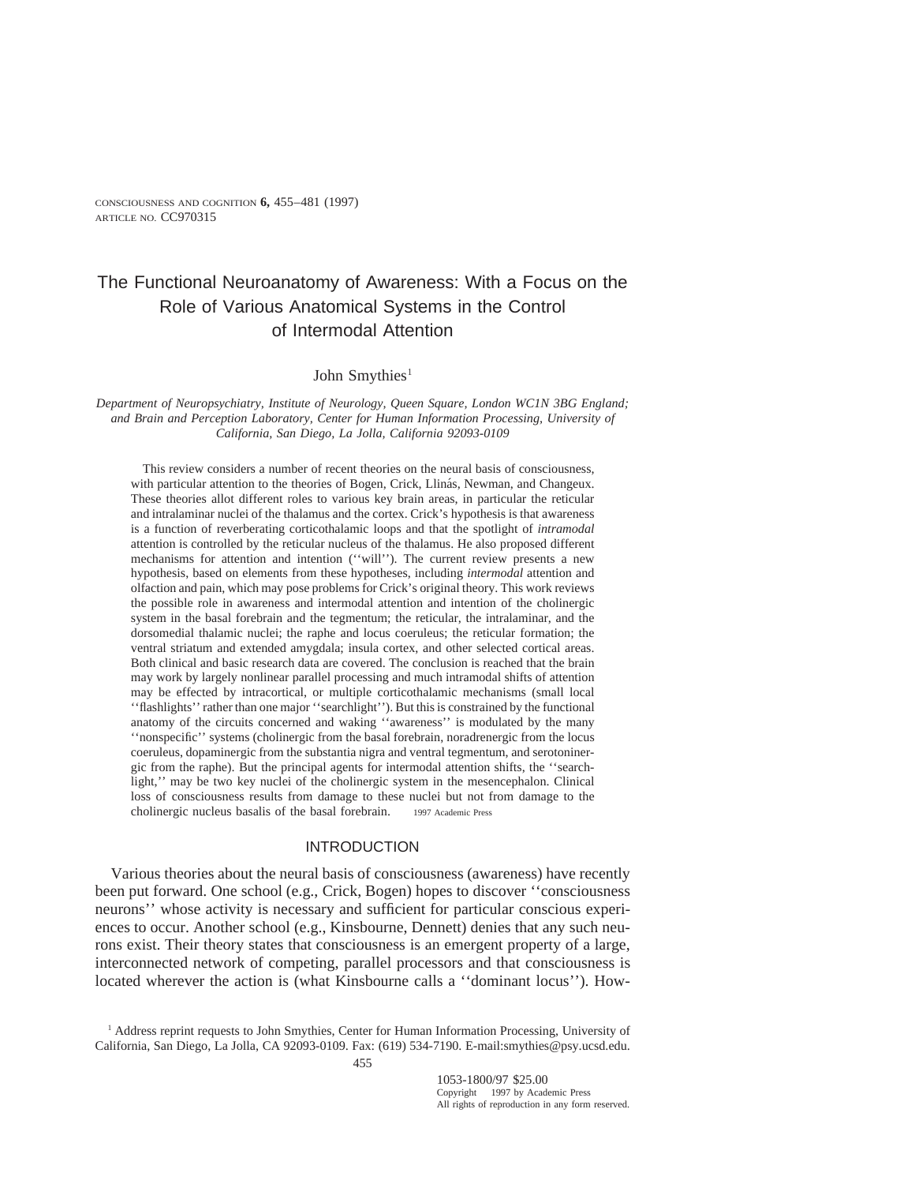# The Functional Neuroanatomy of Awareness: With a Focus on the Role of Various Anatomical Systems in the Control of Intermodal Attention

John Smythies<sup>1</sup>

*Department of Neuropsychiatry, Institute of Neurology, Queen Square, London WC1N 3BG England; and Brain and Perception Laboratory, Center for Human Information Processing, University of California, San Diego, La Jolla, California 92093-0109*

This review considers a number of recent theories on the neural basis of consciousness, with particular attention to the theories of Bogen, Crick, Llinás, Newman, and Changeux. These theories allot different roles to various key brain areas, in particular the reticular and intralaminar nuclei of the thalamus and the cortex. Crick's hypothesis is that awareness is a function of reverberating corticothalamic loops and that the spotlight of *intramodal* attention is controlled by the reticular nucleus of the thalamus. He also proposed different mechanisms for attention and intention (''will''). The current review presents a new hypothesis, based on elements from these hypotheses, including *intermodal* attention and olfaction and pain, which may pose problems for Crick's original theory. This work reviews the possible role in awareness and intermodal attention and intention of the cholinergic system in the basal forebrain and the tegmentum; the reticular, the intralaminar, and the dorsomedial thalamic nuclei; the raphe and locus coeruleus; the reticular formation; the ventral striatum and extended amygdala; insula cortex, and other selected cortical areas. Both clinical and basic research data are covered. The conclusion is reached that the brain may work by largely nonlinear parallel processing and much intramodal shifts of attention may be effected by intracortical, or multiple corticothalamic mechanisms (small local ''flashlights'' rather than one major ''searchlight''). But this is constrained by the functional anatomy of the circuits concerned and waking ''awareness'' is modulated by the many ''nonspecific'' systems (cholinergic from the basal forebrain, noradrenergic from the locus coeruleus, dopaminergic from the substantia nigra and ventral tegmentum, and serotoninergic from the raphe). But the principal agents for intermodal attention shifts, the ''searchlight,'' may be two key nuclei of the cholinergic system in the mesencephalon. Clinical loss of consciousness results from damage to these nuclei but not from damage to the cholinergic nucleus basalis of the basal forebrain.  $\circ$  1997 Academic Press

# INTRODUCTION

Various theories about the neural basis of consciousness (awareness) have recently been put forward. One school (e.g., Crick, Bogen) hopes to discover ''consciousness neurons'' whose activity is necessary and sufficient for particular conscious experiences to occur. Another school (e.g., Kinsbourne, Dennett) denies that any such neurons exist. Their theory states that consciousness is an emergent property of a large, interconnected network of competing, parallel processors and that consciousness is located wherever the action is (what Kinsbourne calls a ''dominant locus''). How-

<sup>&</sup>lt;sup>1</sup> Address reprint requests to John Smythies, Center for Human Information Processing, University of California, San Diego, La Jolla, CA 92093-0109. Fax: (619) 534-7190. E-mail:smythies@psy.ucsd.edu.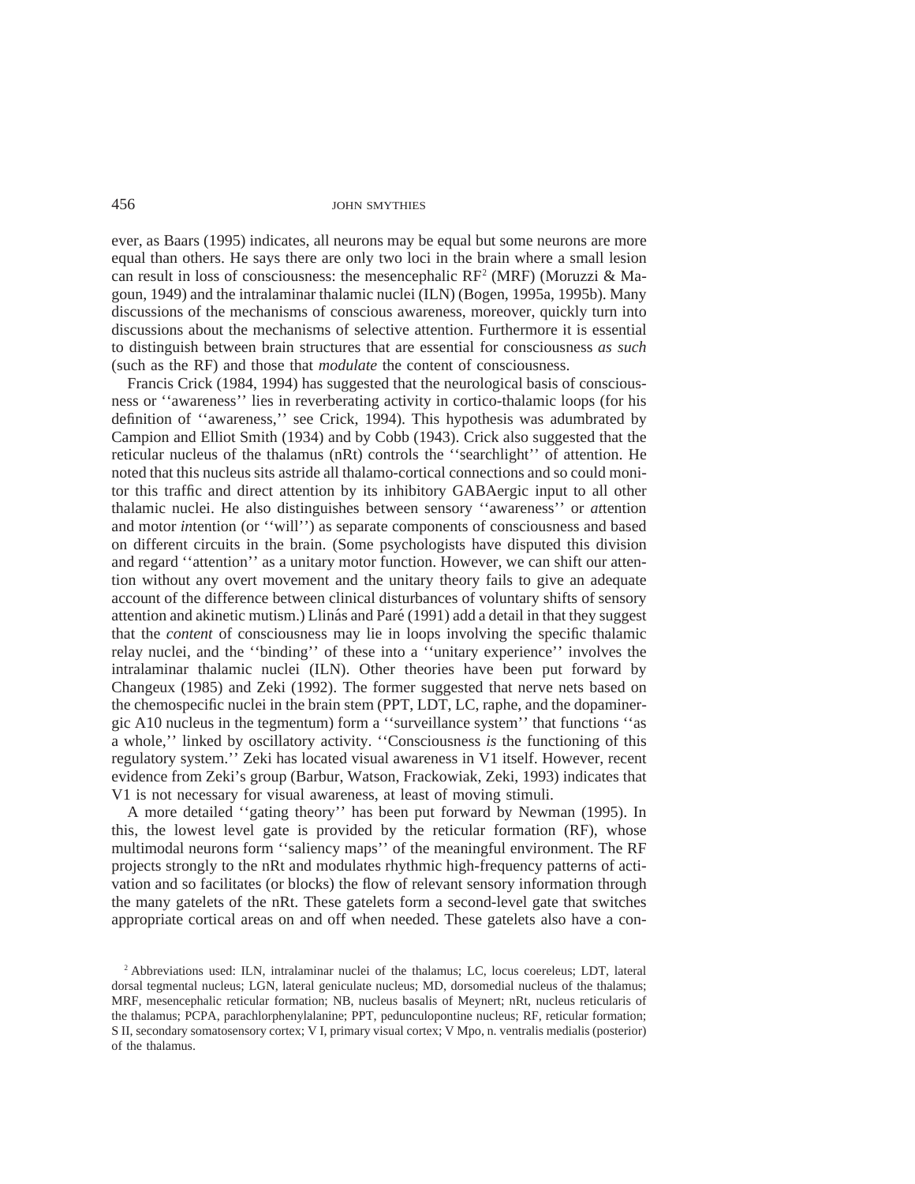ever, as Baars (1995) indicates, all neurons may be equal but some neurons are more equal than others. He says there are only two loci in the brain where a small lesion can result in loss of consciousness: the mesencephalic  $RF^2$  (MRF) (Moruzzi & Magoun, 1949) and the intralaminar thalamic nuclei (ILN) (Bogen, 1995a, 1995b). Many discussions of the mechanisms of conscious awareness, moreover, quickly turn into discussions about the mechanisms of selective attention. Furthermore it is essential to distinguish between brain structures that are essential for consciousness *as such* (such as the RF) and those that *modulate* the content of consciousness.

Francis Crick (1984, 1994) has suggested that the neurological basis of consciousness or ''awareness'' lies in reverberating activity in cortico-thalamic loops (for his definition of ''awareness,'' see Crick, 1994). This hypothesis was adumbrated by Campion and Elliot Smith (1934) and by Cobb (1943). Crick also suggested that the reticular nucleus of the thalamus (nRt) controls the ''searchlight'' of attention. He noted that this nucleus sits astride all thalamo-cortical connections and so could monitor this traffic and direct attention by its inhibitory GABAergic input to all other thalamic nuclei. He also distinguishes between sensory ''awareness'' or *at*tention and motor *in*tention (or ''will'') as separate components of consciousness and based on different circuits in the brain. (Some psychologists have disputed this division and regard ''attention'' as a unitary motor function. However, we can shift our attention without any overt movement and the unitary theory fails to give an adequate account of the difference between clinical disturbances of voluntary shifts of sensory attention and akinetic mutism.) Llinás and Paré (1991) add a detail in that they suggest that the *content* of consciousness may lie in loops involving the specific thalamic relay nuclei, and the ''binding'' of these into a ''unitary experience'' involves the intralaminar thalamic nuclei (ILN). Other theories have been put forward by Changeux (1985) and Zeki (1992). The former suggested that nerve nets based on the chemospecific nuclei in the brain stem (PPT, LDT, LC, raphe, and the dopaminergic A10 nucleus in the tegmentum) form a ''surveillance system'' that functions ''as a whole,'' linked by oscillatory activity. ''Consciousness *is* the functioning of this regulatory system.'' Zeki has located visual awareness in V1 itself. However, recent evidence from Zeki's group (Barbur, Watson, Frackowiak, Zeki, 1993) indicates that V1 is not necessary for visual awareness, at least of moving stimuli.

A more detailed ''gating theory'' has been put forward by Newman (1995). In this, the lowest level gate is provided by the reticular formation (RF), whose multimodal neurons form ''saliency maps'' of the meaningful environment. The RF projects strongly to the nRt and modulates rhythmic high-frequency patterns of activation and so facilitates (or blocks) the flow of relevant sensory information through the many gatelets of the nRt. These gatelets form a second-level gate that switches appropriate cortical areas on and off when needed. These gatelets also have a con-

<sup>&</sup>lt;sup>2</sup> Abbreviations used: ILN, intralaminar nuclei of the thalamus; LC, locus coereleus; LDT, lateral dorsal tegmental nucleus; LGN, lateral geniculate nucleus; MD, dorsomedial nucleus of the thalamus; MRF, mesencephalic reticular formation; NB, nucleus basalis of Meynert; nRt, nucleus reticularis of the thalamus; PCPA, parachlorphenylalanine; PPT, pedunculopontine nucleus; RF, reticular formation; S II, secondary somatosensory cortex; V I, primary visual cortex; V Mpo, n. ventralis medialis (posterior) of the thalamus.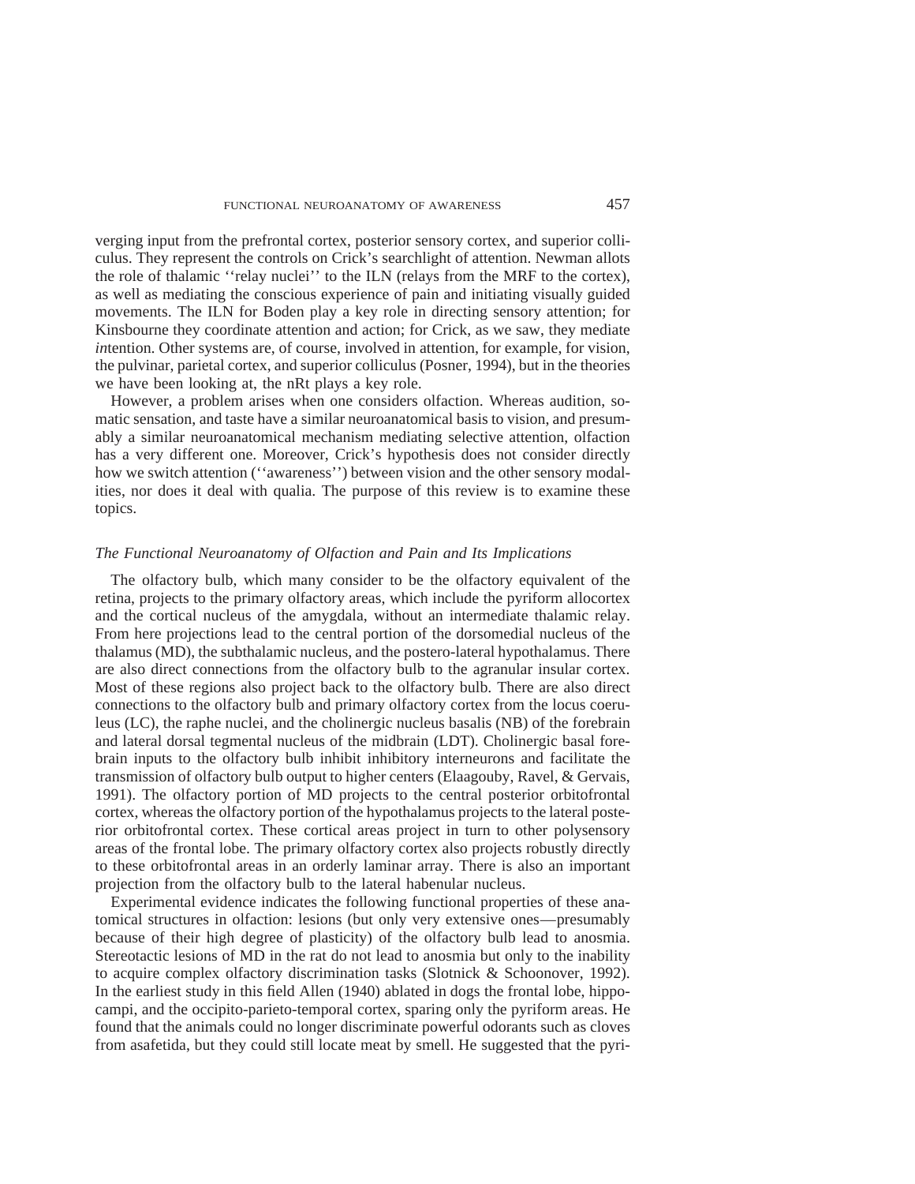verging input from the prefrontal cortex, posterior sensory cortex, and superior colliculus. They represent the controls on Crick's searchlight of attention. Newman allots the role of thalamic ''relay nuclei'' to the ILN (relays from the MRF to the cortex), as well as mediating the conscious experience of pain and initiating visually guided movements. The ILN for Boden play a key role in directing sensory attention; for Kinsbourne they coordinate attention and action; for Crick, as we saw, they mediate *in*tention. Other systems are, of course, involved in attention, for example, for vision, the pulvinar, parietal cortex, and superior colliculus (Posner, 1994), but in the theories we have been looking at, the nRt plays a key role.

However, a problem arises when one considers olfaction. Whereas audition, somatic sensation, and taste have a similar neuroanatomical basis to vision, and presumably a similar neuroanatomical mechanism mediating selective attention, olfaction has a very different one. Moreover, Crick's hypothesis does not consider directly how we switch attention ("awareness") between vision and the other sensory modalities, nor does it deal with qualia. The purpose of this review is to examine these topics.

### *The Functional Neuroanatomy of Olfaction and Pain and Its Implications*

The olfactory bulb, which many consider to be the olfactory equivalent of the retina, projects to the primary olfactory areas, which include the pyriform allocortex and the cortical nucleus of the amygdala, without an intermediate thalamic relay. From here projections lead to the central portion of the dorsomedial nucleus of the thalamus (MD), the subthalamic nucleus, and the postero-lateral hypothalamus. There are also direct connections from the olfactory bulb to the agranular insular cortex. Most of these regions also project back to the olfactory bulb. There are also direct connections to the olfactory bulb and primary olfactory cortex from the locus coeruleus (LC), the raphe nuclei, and the cholinergic nucleus basalis (NB) of the forebrain and lateral dorsal tegmental nucleus of the midbrain (LDT). Cholinergic basal forebrain inputs to the olfactory bulb inhibit inhibitory interneurons and facilitate the transmission of olfactory bulb output to higher centers (Elaagouby, Ravel, & Gervais, 1991). The olfactory portion of MD projects to the central posterior orbitofrontal cortex, whereas the olfactory portion of the hypothalamus projects to the lateral posterior orbitofrontal cortex. These cortical areas project in turn to other polysensory areas of the frontal lobe. The primary olfactory cortex also projects robustly directly to these orbitofrontal areas in an orderly laminar array. There is also an important projection from the olfactory bulb to the lateral habenular nucleus.

Experimental evidence indicates the following functional properties of these anatomical structures in olfaction: lesions (but only very extensive ones—presumably because of their high degree of plasticity) of the olfactory bulb lead to anosmia. Stereotactic lesions of MD in the rat do not lead to anosmia but only to the inability to acquire complex olfactory discrimination tasks (Slotnick & Schoonover, 1992). In the earliest study in this field Allen (1940) ablated in dogs the frontal lobe, hippocampi, and the occipito-parieto-temporal cortex, sparing only the pyriform areas. He found that the animals could no longer discriminate powerful odorants such as cloves from asafetida, but they could still locate meat by smell. He suggested that the pyri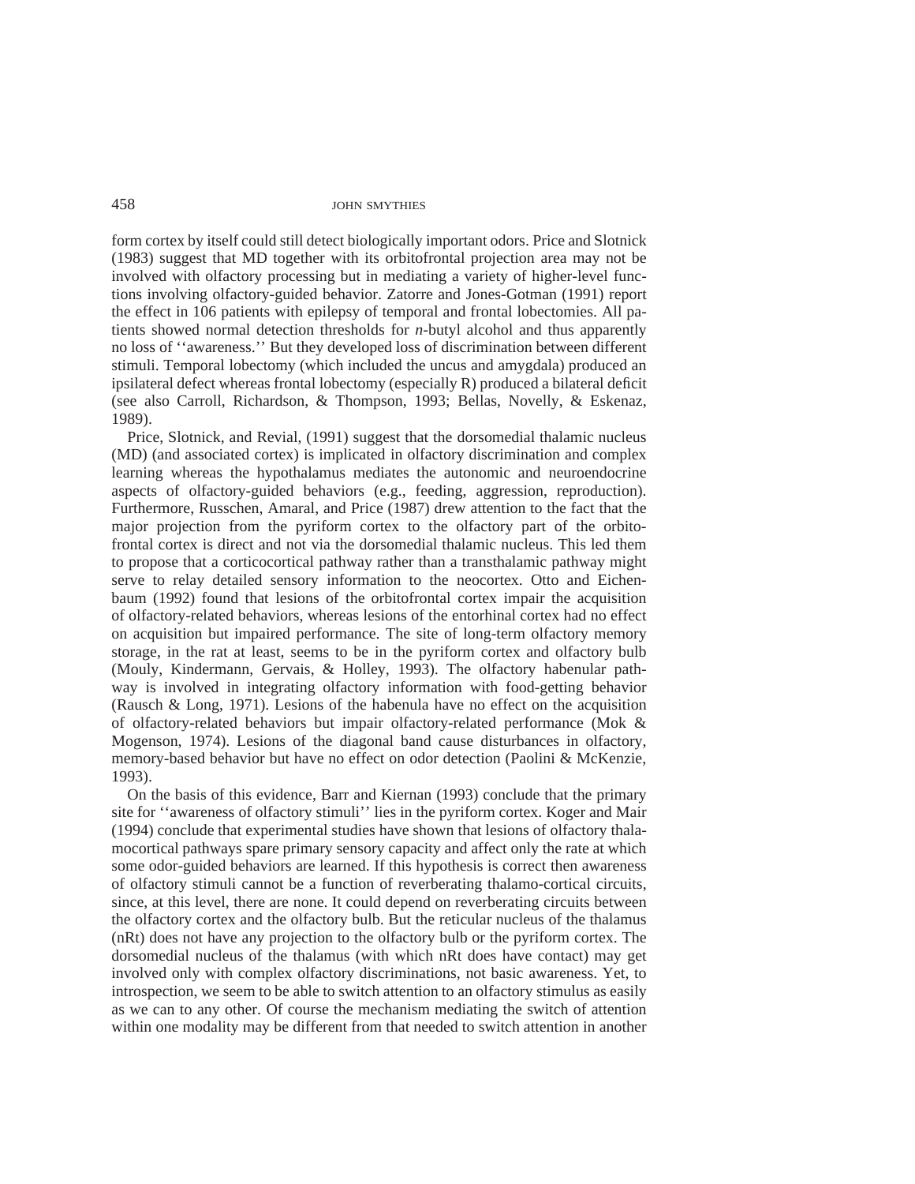form cortex by itself could still detect biologically important odors. Price and Slotnick (1983) suggest that MD together with its orbitofrontal projection area may not be involved with olfactory processing but in mediating a variety of higher-level functions involving olfactory-guided behavior. Zatorre and Jones-Gotman (1991) report the effect in 106 patients with epilepsy of temporal and frontal lobectomies. All patients showed normal detection thresholds for *n*-butyl alcohol and thus apparently no loss of ''awareness.'' But they developed loss of discrimination between different stimuli. Temporal lobectomy (which included the uncus and amygdala) produced an ipsilateral defect whereas frontal lobectomy (especially R) produced a bilateral deficit (see also Carroll, Richardson, & Thompson, 1993; Bellas, Novelly, & Eskenaz, 1989).

Price, Slotnick, and Revial, (1991) suggest that the dorsomedial thalamic nucleus (MD) (and associated cortex) is implicated in olfactory discrimination and complex learning whereas the hypothalamus mediates the autonomic and neuroendocrine aspects of olfactory-guided behaviors (e.g., feeding, aggression, reproduction). Furthermore, Russchen, Amaral, and Price (1987) drew attention to the fact that the major projection from the pyriform cortex to the olfactory part of the orbitofrontal cortex is direct and not via the dorsomedial thalamic nucleus. This led them to propose that a corticocortical pathway rather than a transthalamic pathway might serve to relay detailed sensory information to the neocortex. Otto and Eichenbaum (1992) found that lesions of the orbitofrontal cortex impair the acquisition of olfactory-related behaviors, whereas lesions of the entorhinal cortex had no effect on acquisition but impaired performance. The site of long-term olfactory memory storage, in the rat at least, seems to be in the pyriform cortex and olfactory bulb (Mouly, Kindermann, Gervais, & Holley, 1993). The olfactory habenular pathway is involved in integrating olfactory information with food-getting behavior (Rausch & Long, 1971). Lesions of the habenula have no effect on the acquisition of olfactory-related behaviors but impair olfactory-related performance (Mok & Mogenson, 1974). Lesions of the diagonal band cause disturbances in olfactory, memory-based behavior but have no effect on odor detection (Paolini & McKenzie, 1993).

On the basis of this evidence, Barr and Kiernan (1993) conclude that the primary site for ''awareness of olfactory stimuli'' lies in the pyriform cortex. Koger and Mair (1994) conclude that experimental studies have shown that lesions of olfactory thalamocortical pathways spare primary sensory capacity and affect only the rate at which some odor-guided behaviors are learned. If this hypothesis is correct then awareness of olfactory stimuli cannot be a function of reverberating thalamo-cortical circuits, since, at this level, there are none. It could depend on reverberating circuits between the olfactory cortex and the olfactory bulb. But the reticular nucleus of the thalamus (nRt) does not have any projection to the olfactory bulb or the pyriform cortex. The dorsomedial nucleus of the thalamus (with which nRt does have contact) may get involved only with complex olfactory discriminations, not basic awareness. Yet, to introspection, we seem to be able to switch attention to an olfactory stimulus as easily as we can to any other. Of course the mechanism mediating the switch of attention within one modality may be different from that needed to switch attention in another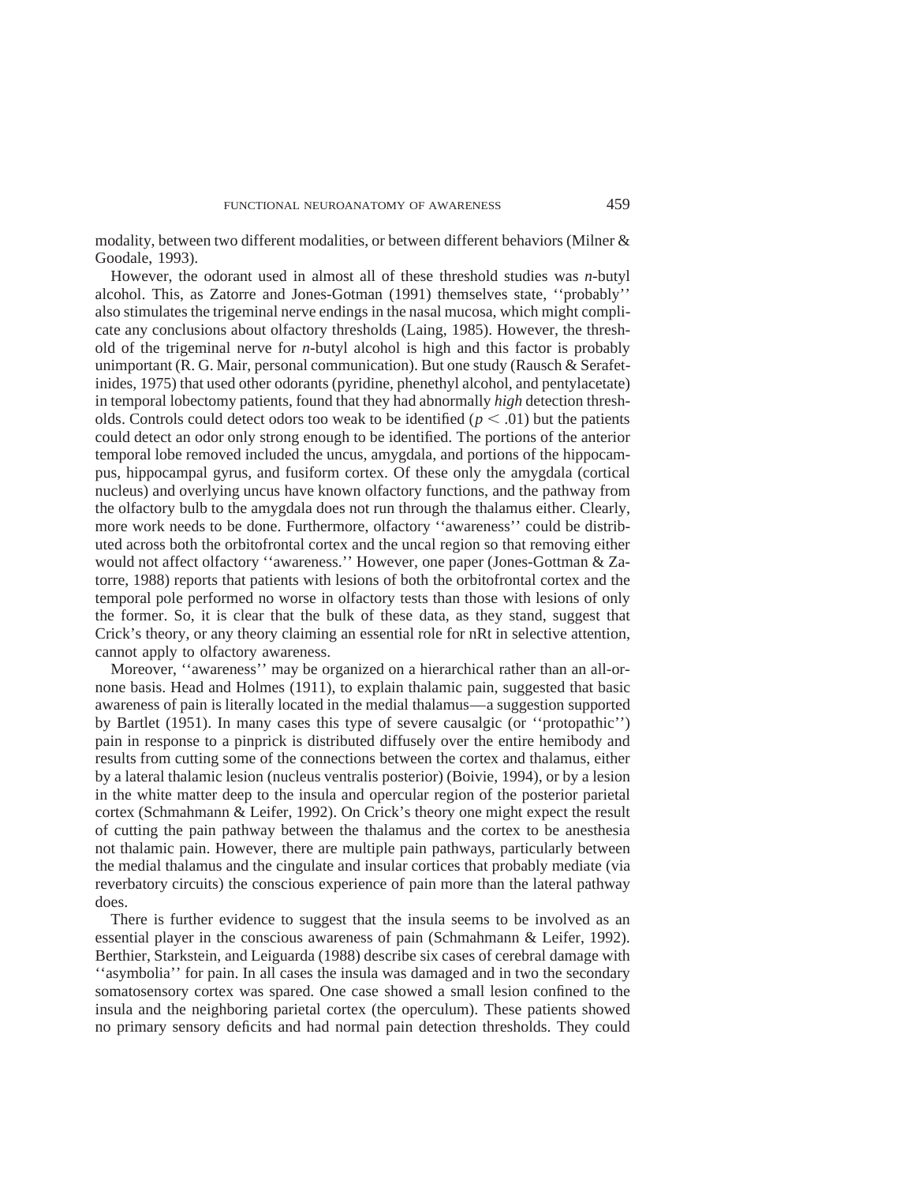modality, between two different modalities, or between different behaviors (Milner & Goodale, 1993).

However, the odorant used in almost all of these threshold studies was *n*-butyl alcohol. This, as Zatorre and Jones-Gotman (1991) themselves state, ''probably'' also stimulates the trigeminal nerve endings in the nasal mucosa, which might complicate any conclusions about olfactory thresholds (Laing, 1985). However, the threshold of the trigeminal nerve for *n*-butyl alcohol is high and this factor is probably unimportant (R. G. Mair, personal communication). But one study (Rausch & Serafetinides, 1975) that used other odorants (pyridine, phenethyl alcohol, and pentylacetate) in temporal lobectomy patients, found that they had abnormally *high* detection thresholds. Controls could detect odors too weak to be identified ( $p < .01$ ) but the patients could detect an odor only strong enough to be identified. The portions of the anterior temporal lobe removed included the uncus, amygdala, and portions of the hippocampus, hippocampal gyrus, and fusiform cortex. Of these only the amygdala (cortical nucleus) and overlying uncus have known olfactory functions, and the pathway from the olfactory bulb to the amygdala does not run through the thalamus either. Clearly, more work needs to be done. Furthermore, olfactory ''awareness'' could be distributed across both the orbitofrontal cortex and the uncal region so that removing either would not affect olfactory ''awareness.'' However, one paper (Jones-Gottman & Zatorre, 1988) reports that patients with lesions of both the orbitofrontal cortex and the temporal pole performed no worse in olfactory tests than those with lesions of only the former. So, it is clear that the bulk of these data, as they stand, suggest that Crick's theory, or any theory claiming an essential role for nRt in selective attention, cannot apply to olfactory awareness.

Moreover, ''awareness'' may be organized on a hierarchical rather than an all-ornone basis. Head and Holmes (1911), to explain thalamic pain, suggested that basic awareness of pain is literally located in the medial thalamus—a suggestion supported by Bartlet (1951). In many cases this type of severe causalgic (or ''protopathic'') pain in response to a pinprick is distributed diffusely over the entire hemibody and results from cutting some of the connections between the cortex and thalamus, either by a lateral thalamic lesion (nucleus ventralis posterior) (Boivie, 1994), or by a lesion in the white matter deep to the insula and opercular region of the posterior parietal cortex (Schmahmann & Leifer, 1992). On Crick's theory one might expect the result of cutting the pain pathway between the thalamus and the cortex to be anesthesia not thalamic pain. However, there are multiple pain pathways, particularly between the medial thalamus and the cingulate and insular cortices that probably mediate (via reverbatory circuits) the conscious experience of pain more than the lateral pathway does.

There is further evidence to suggest that the insula seems to be involved as an essential player in the conscious awareness of pain (Schmahmann & Leifer, 1992). Berthier, Starkstein, and Leiguarda (1988) describe six cases of cerebral damage with ''asymbolia'' for pain. In all cases the insula was damaged and in two the secondary somatosensory cortex was spared. One case showed a small lesion confined to the insula and the neighboring parietal cortex (the operculum). These patients showed no primary sensory deficits and had normal pain detection thresholds. They could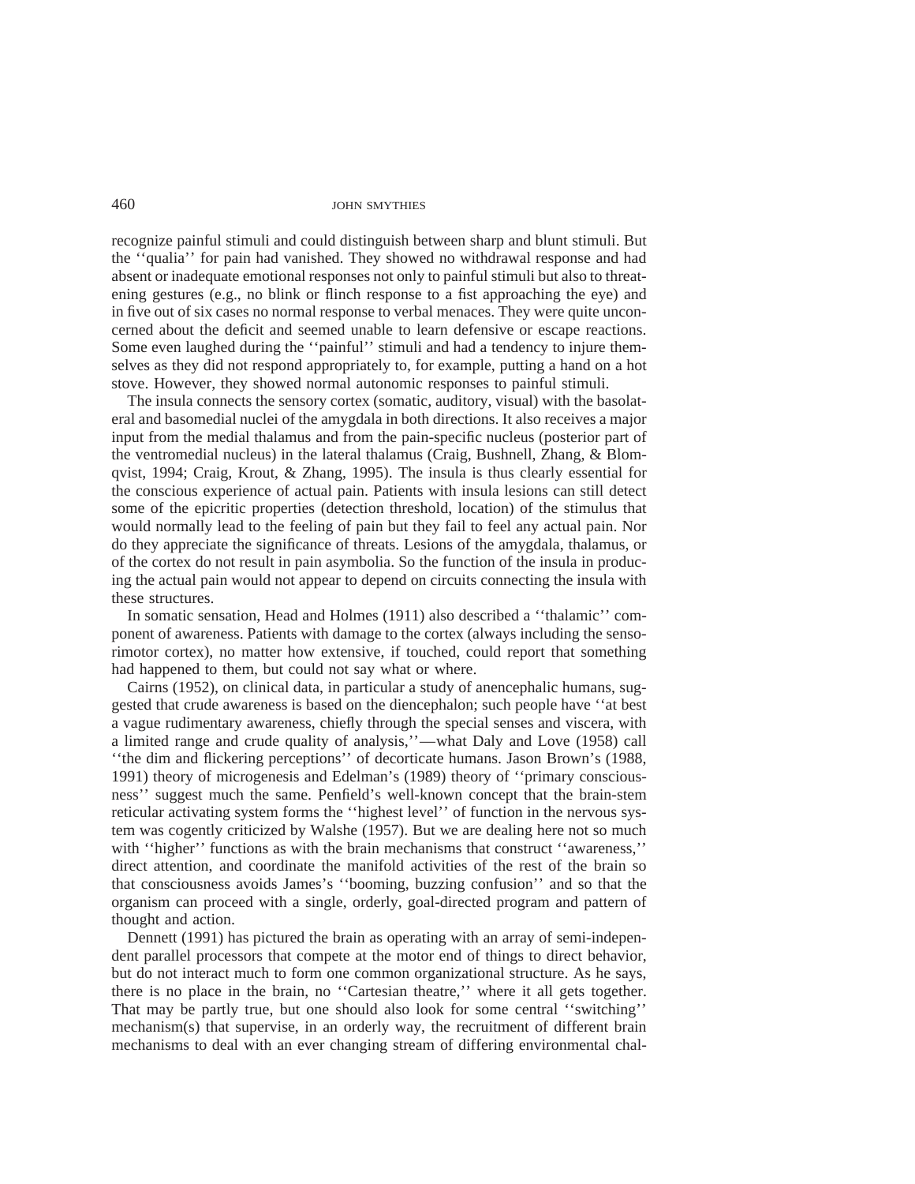#### 460 JOHN SMYTHIES

recognize painful stimuli and could distinguish between sharp and blunt stimuli. But the ''qualia'' for pain had vanished. They showed no withdrawal response and had absent or inadequate emotional responses not only to painful stimuli but also to threatening gestures (e.g., no blink or flinch response to a fist approaching the eye) and in five out of six cases no normal response to verbal menaces. They were quite unconcerned about the deficit and seemed unable to learn defensive or escape reactions. Some even laughed during the ''painful'' stimuli and had a tendency to injure themselves as they did not respond appropriately to, for example, putting a hand on a hot stove. However, they showed normal autonomic responses to painful stimuli.

The insula connects the sensory cortex (somatic, auditory, visual) with the basolateral and basomedial nuclei of the amygdala in both directions. It also receives a major input from the medial thalamus and from the pain-specific nucleus (posterior part of the ventromedial nucleus) in the lateral thalamus (Craig, Bushnell, Zhang, & Blomqvist, 1994; Craig, Krout, & Zhang, 1995). The insula is thus clearly essential for the conscious experience of actual pain. Patients with insula lesions can still detect some of the epicritic properties (detection threshold, location) of the stimulus that would normally lead to the feeling of pain but they fail to feel any actual pain. Nor do they appreciate the significance of threats. Lesions of the amygdala, thalamus, or of the cortex do not result in pain asymbolia. So the function of the insula in producing the actual pain would not appear to depend on circuits connecting the insula with these structures.

In somatic sensation, Head and Holmes (1911) also described a ''thalamic'' component of awareness. Patients with damage to the cortex (always including the sensorimotor cortex), no matter how extensive, if touched, could report that something had happened to them, but could not say what or where.

Cairns (1952), on clinical data, in particular a study of anencephalic humans, suggested that crude awareness is based on the diencephalon; such people have ''at best a vague rudimentary awareness, chiefly through the special senses and viscera, with a limited range and crude quality of analysis,''—what Daly and Love (1958) call ''the dim and flickering perceptions'' of decorticate humans. Jason Brown's (1988, 1991) theory of microgenesis and Edelman's (1989) theory of ''primary consciousness'' suggest much the same. Penfield's well-known concept that the brain-stem reticular activating system forms the ''highest level'' of function in the nervous system was cogently criticized by Walshe (1957). But we are dealing here not so much with "higher" functions as with the brain mechanisms that construct "awareness," direct attention, and coordinate the manifold activities of the rest of the brain so that consciousness avoids James's ''booming, buzzing confusion'' and so that the organism can proceed with a single, orderly, goal-directed program and pattern of thought and action.

Dennett (1991) has pictured the brain as operating with an array of semi-independent parallel processors that compete at the motor end of things to direct behavior, but do not interact much to form one common organizational structure. As he says, there is no place in the brain, no ''Cartesian theatre,'' where it all gets together. That may be partly true, but one should also look for some central ''switching'' mechanism(s) that supervise, in an orderly way, the recruitment of different brain mechanisms to deal with an ever changing stream of differing environmental chal-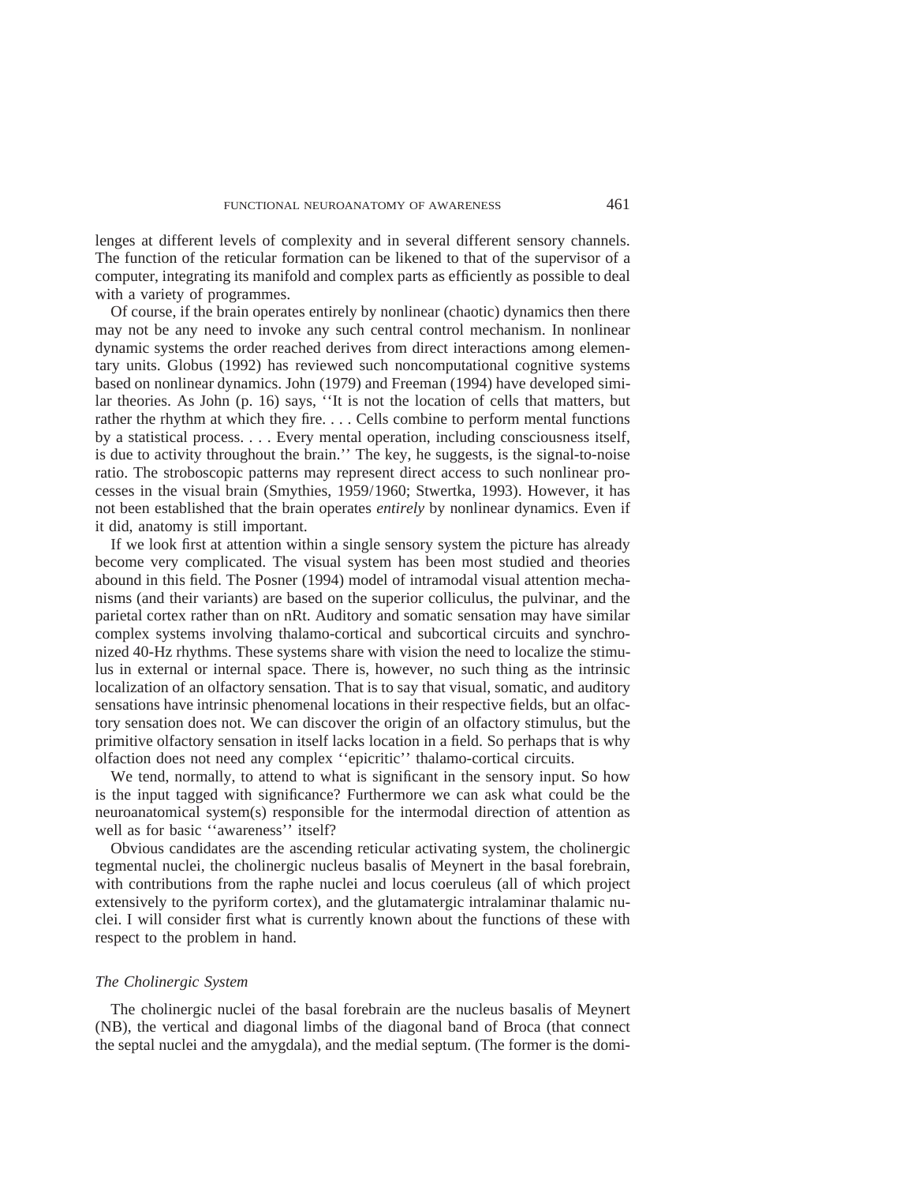lenges at different levels of complexity and in several different sensory channels. The function of the reticular formation can be likened to that of the supervisor of a computer, integrating its manifold and complex parts as efficiently as possible to deal with a variety of programmes.

Of course, if the brain operates entirely by nonlinear (chaotic) dynamics then there may not be any need to invoke any such central control mechanism. In nonlinear dynamic systems the order reached derives from direct interactions among elementary units. Globus (1992) has reviewed such noncomputational cognitive systems based on nonlinear dynamics. John (1979) and Freeman (1994) have developed similar theories. As John (p. 16) says, ''It is not the location of cells that matters, but rather the rhythm at which they fire. . . . Cells combine to perform mental functions by a statistical process. . . . Every mental operation, including consciousness itself, is due to activity throughout the brain.'' The key, he suggests, is the signal-to-noise ratio. The stroboscopic patterns may represent direct access to such nonlinear processes in the visual brain (Smythies, 1959/1960; Stwertka, 1993). However, it has not been established that the brain operates *entirely* by nonlinear dynamics. Even if it did, anatomy is still important.

If we look first at attention within a single sensory system the picture has already become very complicated. The visual system has been most studied and theories abound in this field. The Posner (1994) model of intramodal visual attention mechanisms (and their variants) are based on the superior colliculus, the pulvinar, and the parietal cortex rather than on nRt. Auditory and somatic sensation may have similar complex systems involving thalamo-cortical and subcortical circuits and synchronized 40-Hz rhythms. These systems share with vision the need to localize the stimulus in external or internal space. There is, however, no such thing as the intrinsic localization of an olfactory sensation. That is to say that visual, somatic, and auditory sensations have intrinsic phenomenal locations in their respective fields, but an olfactory sensation does not. We can discover the origin of an olfactory stimulus, but the primitive olfactory sensation in itself lacks location in a field. So perhaps that is why olfaction does not need any complex ''epicritic'' thalamo-cortical circuits.

We tend, normally, to attend to what is significant in the sensory input. So how is the input tagged with significance? Furthermore we can ask what could be the neuroanatomical system(s) responsible for the intermodal direction of attention as well as for basic ''awareness'' itself?

Obvious candidates are the ascending reticular activating system, the cholinergic tegmental nuclei, the cholinergic nucleus basalis of Meynert in the basal forebrain, with contributions from the raphe nuclei and locus coeruleus (all of which project extensively to the pyriform cortex), and the glutamatergic intralaminar thalamic nuclei. I will consider first what is currently known about the functions of these with respect to the problem in hand.

## *The Cholinergic System*

The cholinergic nuclei of the basal forebrain are the nucleus basalis of Meynert (NB), the vertical and diagonal limbs of the diagonal band of Broca (that connect the septal nuclei and the amygdala), and the medial septum. (The former is the domi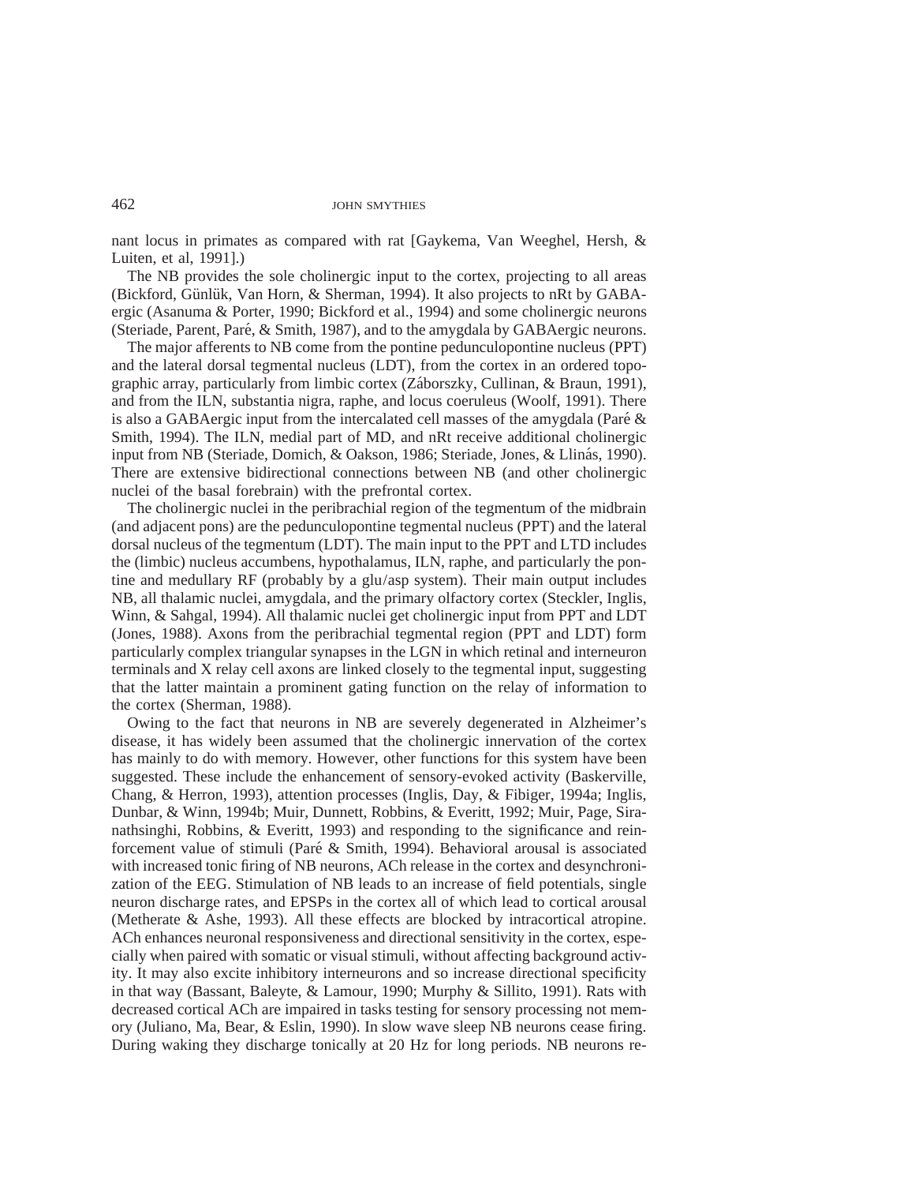nant locus in primates as compared with rat [Gaykema, Van Weeghel, Hersh, & Luiten, et al, 1991].)

The NB provides the sole cholinergic input to the cortex, projecting to all areas (Bickford, Günlük, Van Horn, & Sherman, 1994). It also projects to nRt by GABAergic (Asanuma & Porter, 1990; Bickford et al., 1994) and some cholinergic neurons (Steriade, Parent, Paré, & Smith, 1987), and to the amygdala by GABAergic neurons.

The major afferents to NB come from the pontine pedunculopontine nucleus (PPT) and the lateral dorsal tegmental nucleus (LDT), from the cortex in an ordered topographic array, particularly from limbic cortex (Záborszky, Cullinan, & Braun, 1991), and from the ILN, substantia nigra, raphe, and locus coeruleus (Woolf, 1991). There is also a GABA ergic input from the intercalated cell masses of the amygdala (Paré  $\&$ Smith, 1994). The ILN, medial part of MD, and nRt receive additional cholinergic input from NB (Steriade, Domich, & Oakson, 1986; Steriade, Jones, & Llinás, 1990). There are extensive bidirectional connections between NB (and other cholinergic nuclei of the basal forebrain) with the prefrontal cortex.

The cholinergic nuclei in the peribrachial region of the tegmentum of the midbrain (and adjacent pons) are the pedunculopontine tegmental nucleus (PPT) and the lateral dorsal nucleus of the tegmentum (LDT). The main input to the PPT and LTD includes the (limbic) nucleus accumbens, hypothalamus, ILN, raphe, and particularly the pontine and medullary RF (probably by a glu/asp system). Their main output includes NB, all thalamic nuclei, amygdala, and the primary olfactory cortex (Steckler, Inglis, Winn, & Sahgal, 1994). All thalamic nuclei get cholinergic input from PPT and LDT (Jones, 1988). Axons from the peribrachial tegmental region (PPT and LDT) form particularly complex triangular synapses in the LGN in which retinal and interneuron terminals and X relay cell axons are linked closely to the tegmental input, suggesting that the latter maintain a prominent gating function on the relay of information to the cortex (Sherman, 1988).

Owing to the fact that neurons in NB are severely degenerated in Alzheimer's disease, it has widely been assumed that the cholinergic innervation of the cortex has mainly to do with memory. However, other functions for this system have been suggested. These include the enhancement of sensory-evoked activity (Baskerville, Chang, & Herron, 1993), attention processes (Inglis, Day, & Fibiger, 1994a; Inglis, Dunbar, & Winn, 1994b; Muir, Dunnett, Robbins, & Everitt, 1992; Muir, Page, Siranathsinghi, Robbins, & Everitt, 1993) and responding to the significance and reinforcement value of stimuli (Pare´ & Smith, 1994). Behavioral arousal is associated with increased tonic firing of NB neurons, ACh release in the cortex and desynchronization of the EEG. Stimulation of NB leads to an increase of field potentials, single neuron discharge rates, and EPSPs in the cortex all of which lead to cortical arousal (Metherate & Ashe, 1993). All these effects are blocked by intracortical atropine. ACh enhances neuronal responsiveness and directional sensitivity in the cortex, especially when paired with somatic or visual stimuli, without affecting background activity. It may also excite inhibitory interneurons and so increase directional specificity in that way (Bassant, Baleyte, & Lamour, 1990; Murphy & Sillito, 1991). Rats with decreased cortical ACh are impaired in tasks testing for sensory processing not memory (Juliano, Ma, Bear, & Eslin, 1990). In slow wave sleep NB neurons cease firing. During waking they discharge tonically at 20 Hz for long periods. NB neurons re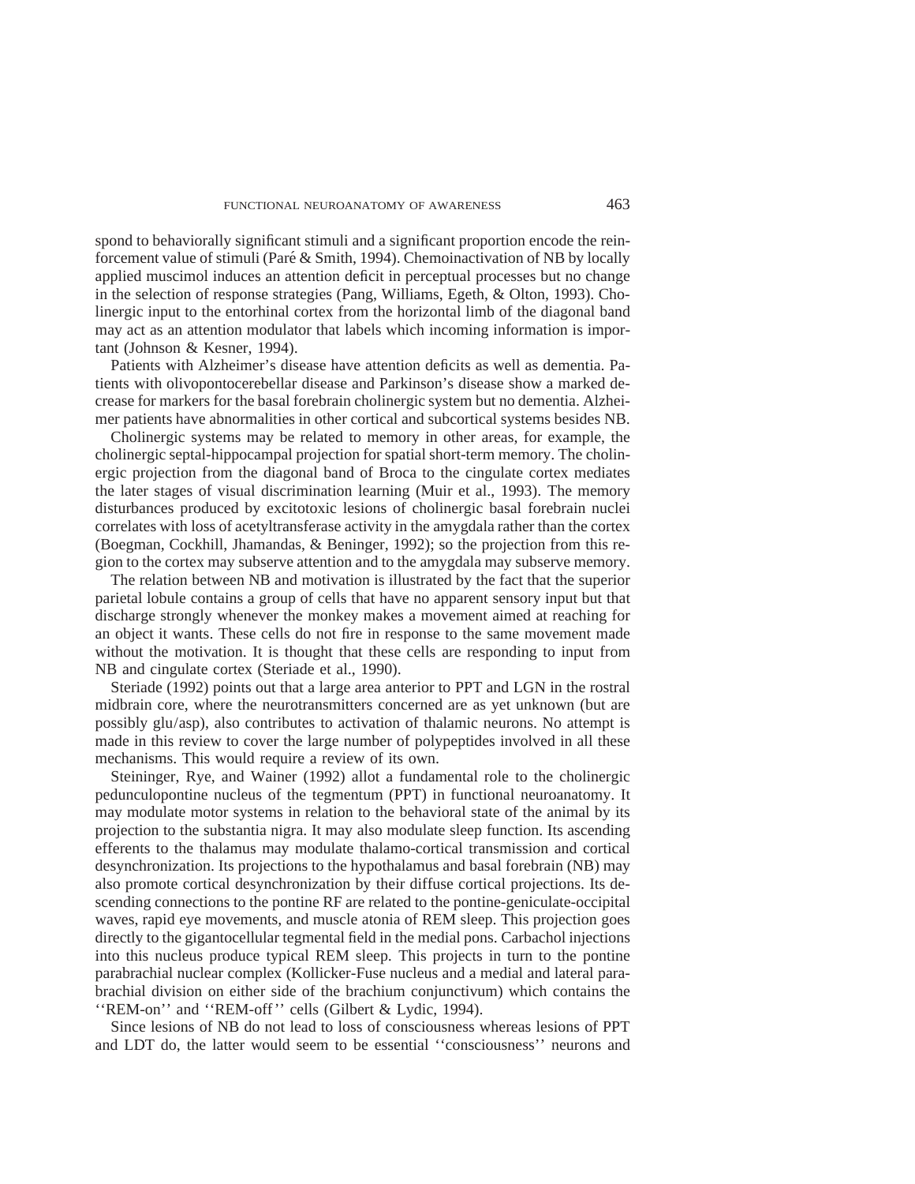spond to behaviorally significant stimuli and a significant proportion encode the reinforcement value of stimuli (Paré  $&$  Smith, 1994). Chemoinactivation of NB by locally applied muscimol induces an attention deficit in perceptual processes but no change in the selection of response strategies (Pang, Williams, Egeth, & Olton, 1993). Cholinergic input to the entorhinal cortex from the horizontal limb of the diagonal band may act as an attention modulator that labels which incoming information is important (Johnson & Kesner, 1994).

Patients with Alzheimer's disease have attention deficits as well as dementia. Patients with olivopontocerebellar disease and Parkinson's disease show a marked decrease for markers for the basal forebrain cholinergic system but no dementia. Alzheimer patients have abnormalities in other cortical and subcortical systems besides NB.

Cholinergic systems may be related to memory in other areas, for example, the cholinergic septal-hippocampal projection for spatial short-term memory. The cholinergic projection from the diagonal band of Broca to the cingulate cortex mediates the later stages of visual discrimination learning (Muir et al., 1993). The memory disturbances produced by excitotoxic lesions of cholinergic basal forebrain nuclei correlates with loss of acetyltransferase activity in the amygdala rather than the cortex (Boegman, Cockhill, Jhamandas, & Beninger, 1992); so the projection from this region to the cortex may subserve attention and to the amygdala may subserve memory.

The relation between NB and motivation is illustrated by the fact that the superior parietal lobule contains a group of cells that have no apparent sensory input but that discharge strongly whenever the monkey makes a movement aimed at reaching for an object it wants. These cells do not fire in response to the same movement made without the motivation. It is thought that these cells are responding to input from NB and cingulate cortex (Steriade et al., 1990).

Steriade (1992) points out that a large area anterior to PPT and LGN in the rostral midbrain core, where the neurotransmitters concerned are as yet unknown (but are possibly glu/asp), also contributes to activation of thalamic neurons. No attempt is made in this review to cover the large number of polypeptides involved in all these mechanisms. This would require a review of its own.

Steininger, Rye, and Wainer (1992) allot a fundamental role to the cholinergic pedunculopontine nucleus of the tegmentum (PPT) in functional neuroanatomy. It may modulate motor systems in relation to the behavioral state of the animal by its projection to the substantia nigra. It may also modulate sleep function. Its ascending efferents to the thalamus may modulate thalamo-cortical transmission and cortical desynchronization. Its projections to the hypothalamus and basal forebrain (NB) may also promote cortical desynchronization by their diffuse cortical projections. Its descending connections to the pontine RF are related to the pontine-geniculate-occipital waves, rapid eye movements, and muscle atonia of REM sleep. This projection goes directly to the gigantocellular tegmental field in the medial pons. Carbachol injections into this nucleus produce typical REM sleep. This projects in turn to the pontine parabrachial nuclear complex (Kollicker-Fuse nucleus and a medial and lateral parabrachial division on either side of the brachium conjunctivum) which contains the ''REM-on'' and ''REM-off'' cells (Gilbert & Lydic, 1994).

Since lesions of NB do not lead to loss of consciousness whereas lesions of PPT and LDT do, the latter would seem to be essential ''consciousness'' neurons and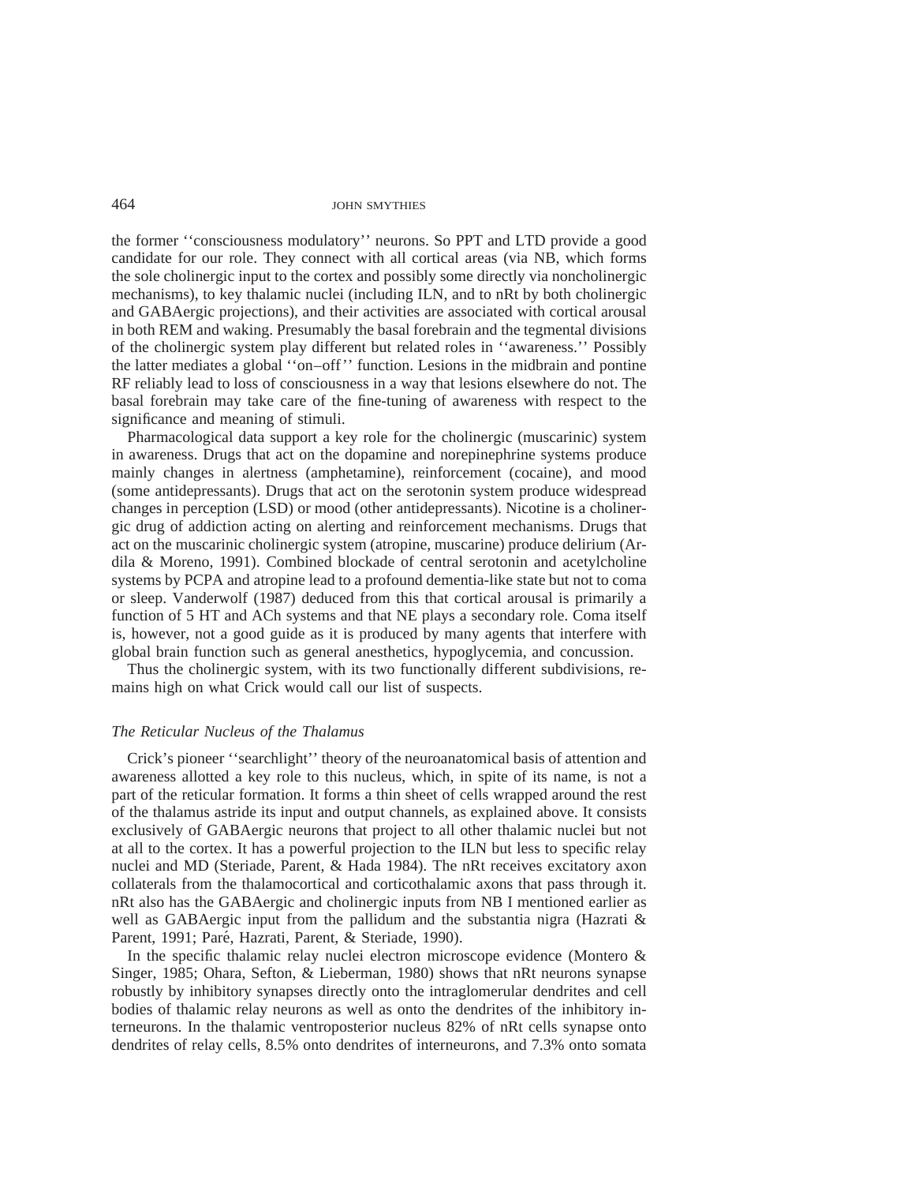the former ''consciousness modulatory'' neurons. So PPT and LTD provide a good candidate for our role. They connect with all cortical areas (via NB, which forms the sole cholinergic input to the cortex and possibly some directly via noncholinergic mechanisms), to key thalamic nuclei (including ILN, and to nRt by both cholinergic and GABAergic projections), and their activities are associated with cortical arousal in both REM and waking. Presumably the basal forebrain and the tegmental divisions of the cholinergic system play different but related roles in ''awareness.'' Possibly the latter mediates a global ''on–off'' function. Lesions in the midbrain and pontine RF reliably lead to loss of consciousness in a way that lesions elsewhere do not. The basal forebrain may take care of the fine-tuning of awareness with respect to the significance and meaning of stimuli.

Pharmacological data support a key role for the cholinergic (muscarinic) system in awareness. Drugs that act on the dopamine and norepinephrine systems produce mainly changes in alertness (amphetamine), reinforcement (cocaine), and mood (some antidepressants). Drugs that act on the serotonin system produce widespread changes in perception (LSD) or mood (other antidepressants). Nicotine is a cholinergic drug of addiction acting on alerting and reinforcement mechanisms. Drugs that act on the muscarinic cholinergic system (atropine, muscarine) produce delirium (Ardila & Moreno, 1991). Combined blockade of central serotonin and acetylcholine systems by PCPA and atropine lead to a profound dementia-like state but not to coma or sleep. Vanderwolf (1987) deduced from this that cortical arousal is primarily a function of 5 HT and ACh systems and that NE plays a secondary role. Coma itself is, however, not a good guide as it is produced by many agents that interfere with global brain function such as general anesthetics, hypoglycemia, and concussion.

Thus the cholinergic system, with its two functionally different subdivisions, remains high on what Crick would call our list of suspects.

### *The Reticular Nucleus of the Thalamus*

Crick's pioneer ''searchlight'' theory of the neuroanatomical basis of attention and awareness allotted a key role to this nucleus, which, in spite of its name, is not a part of the reticular formation. It forms a thin sheet of cells wrapped around the rest of the thalamus astride its input and output channels, as explained above. It consists exclusively of GABAergic neurons that project to all other thalamic nuclei but not at all to the cortex. It has a powerful projection to the ILN but less to specific relay nuclei and MD (Steriade, Parent, & Hada 1984). The nRt receives excitatory axon collaterals from the thalamocortical and corticothalamic axons that pass through it. nRt also has the GABAergic and cholinergic inputs from NB I mentioned earlier as well as GABAergic input from the pallidum and the substantia nigra (Hazrati & Parent, 1991; Paré, Hazrati, Parent, & Steriade, 1990).

In the specific thalamic relay nuclei electron microscope evidence (Montero & Singer, 1985; Ohara, Sefton, & Lieberman, 1980) shows that nRt neurons synapse robustly by inhibitory synapses directly onto the intraglomerular dendrites and cell bodies of thalamic relay neurons as well as onto the dendrites of the inhibitory interneurons. In the thalamic ventroposterior nucleus 82% of nRt cells synapse onto dendrites of relay cells, 8.5% onto dendrites of interneurons, and 7.3% onto somata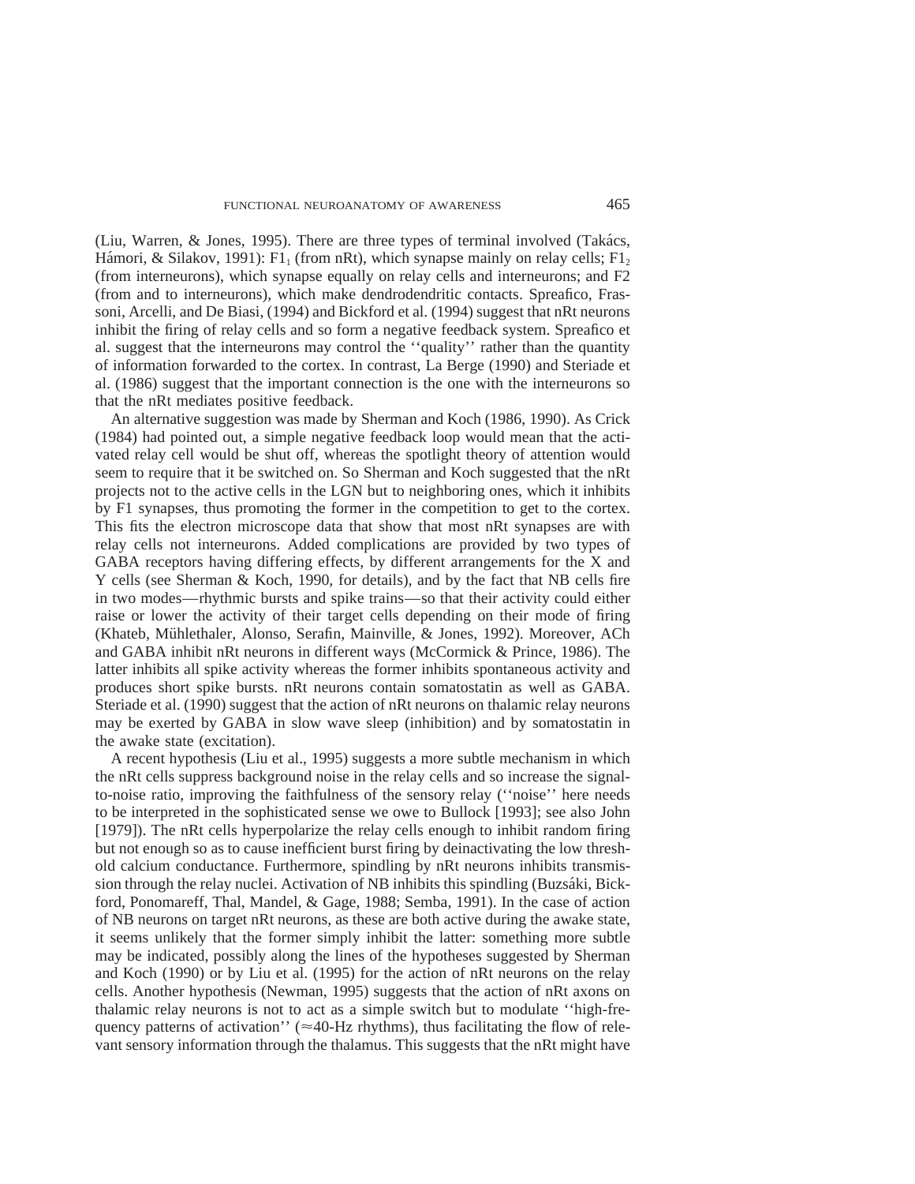(Liu, Warren, & Jones, 1995). There are three types of terminal involved (Takács, Hámori, & Silakov, 1991): F1<sub>1</sub> (from nRt), which synapse mainly on relay cells; F1<sub>2</sub> (from interneurons), which synapse equally on relay cells and interneurons; and F2 (from and to interneurons), which make dendrodendritic contacts. Spreafico, Frassoni, Arcelli, and De Biasi, (1994) and Bickford et al. (1994) suggest that nRt neurons inhibit the firing of relay cells and so form a negative feedback system. Spreafico et al. suggest that the interneurons may control the ''quality'' rather than the quantity of information forwarded to the cortex. In contrast, La Berge (1990) and Steriade et al. (1986) suggest that the important connection is the one with the interneurons so that the nRt mediates positive feedback.

An alternative suggestion was made by Sherman and Koch (1986, 1990). As Crick (1984) had pointed out, a simple negative feedback loop would mean that the activated relay cell would be shut off, whereas the spotlight theory of attention would seem to require that it be switched on. So Sherman and Koch suggested that the nRt projects not to the active cells in the LGN but to neighboring ones, which it inhibits by F1 synapses, thus promoting the former in the competition to get to the cortex. This fits the electron microscope data that show that most nRt synapses are with relay cells not interneurons. Added complications are provided by two types of GABA receptors having differing effects, by different arrangements for the X and Y cells (see Sherman & Koch, 1990, for details), and by the fact that NB cells fire in two modes—rhythmic bursts and spike trains—so that their activity could either raise or lower the activity of their target cells depending on their mode of firing (Khateb, Mühlethaler, Alonso, Serafin, Mainville, & Jones, 1992). Moreover, ACh and GABA inhibit nRt neurons in different ways (McCormick & Prince, 1986). The latter inhibits all spike activity whereas the former inhibits spontaneous activity and produces short spike bursts. nRt neurons contain somatostatin as well as GABA. Steriade et al. (1990) suggest that the action of nRt neurons on thalamic relay neurons may be exerted by GABA in slow wave sleep (inhibition) and by somatostatin in the awake state (excitation).

A recent hypothesis (Liu et al., 1995) suggests a more subtle mechanism in which the nRt cells suppress background noise in the relay cells and so increase the signalto-noise ratio, improving the faithfulness of the sensory relay (''noise'' here needs to be interpreted in the sophisticated sense we owe to Bullock [1993]; see also John [1979]). The nRt cells hyperpolarize the relay cells enough to inhibit random firing but not enough so as to cause inefficient burst firing by deinactivating the low threshold calcium conductance. Furthermore, spindling by nRt neurons inhibits transmission through the relay nuclei. Activation of NB inhibits this spindling (Buzsáki, Bickford, Ponomareff, Thal, Mandel, & Gage, 1988; Semba, 1991). In the case of action of NB neurons on target nRt neurons, as these are both active during the awake state, it seems unlikely that the former simply inhibit the latter: something more subtle may be indicated, possibly along the lines of the hypotheses suggested by Sherman and Koch (1990) or by Liu et al. (1995) for the action of nRt neurons on the relay cells. Another hypothesis (Newman, 1995) suggests that the action of nRt axons on thalamic relay neurons is not to act as a simple switch but to modulate ''high-frequency patterns of activation'' ( $\approx$ 40-Hz rhythms), thus facilitating the flow of relevant sensory information through the thalamus. This suggests that the nRt might have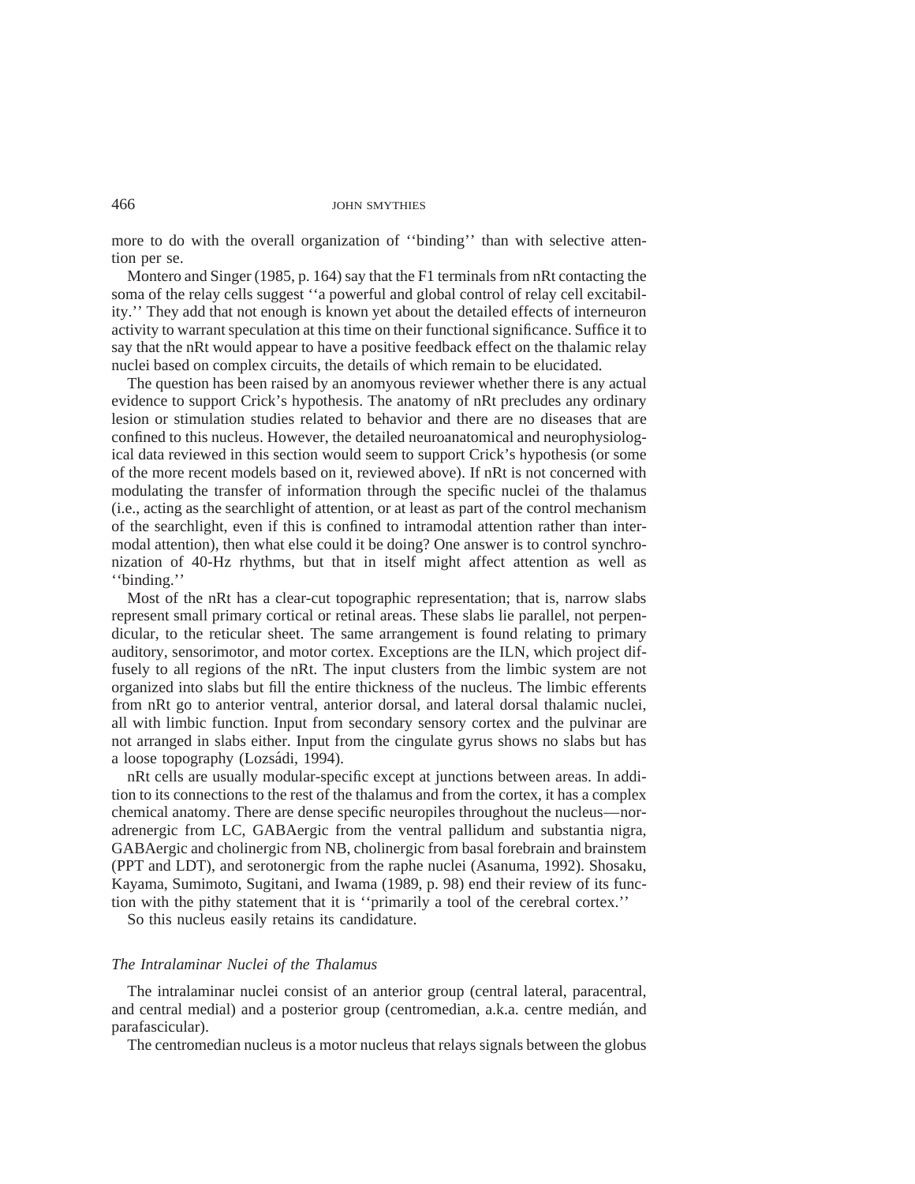more to do with the overall organization of ''binding'' than with selective attention per se.

Montero and Singer (1985, p. 164) say that the F1 terminals from nRt contacting the soma of the relay cells suggest ''a powerful and global control of relay cell excitability.'' They add that not enough is known yet about the detailed effects of interneuron activity to warrant speculation at this time on their functional significance. Suffice it to say that the nRt would appear to have a positive feedback effect on the thalamic relay nuclei based on complex circuits, the details of which remain to be elucidated.

The question has been raised by an anomyous reviewer whether there is any actual evidence to support Crick's hypothesis. The anatomy of nRt precludes any ordinary lesion or stimulation studies related to behavior and there are no diseases that are confined to this nucleus. However, the detailed neuroanatomical and neurophysiological data reviewed in this section would seem to support Crick's hypothesis (or some of the more recent models based on it, reviewed above). If nRt is not concerned with modulating the transfer of information through the specific nuclei of the thalamus (i.e., acting as the searchlight of attention, or at least as part of the control mechanism of the searchlight, even if this is confined to intramodal attention rather than intermodal attention), then what else could it be doing? One answer is to control synchronization of 40-Hz rhythms, but that in itself might affect attention as well as ''binding.''

Most of the nRt has a clear-cut topographic representation; that is, narrow slabs represent small primary cortical or retinal areas. These slabs lie parallel, not perpendicular, to the reticular sheet. The same arrangement is found relating to primary auditory, sensorimotor, and motor cortex. Exceptions are the ILN, which project diffusely to all regions of the nRt. The input clusters from the limbic system are not organized into slabs but fill the entire thickness of the nucleus. The limbic efferents from nRt go to anterior ventral, anterior dorsal, and lateral dorsal thalamic nuclei, all with limbic function. Input from secondary sensory cortex and the pulvinar are not arranged in slabs either. Input from the cingulate gyrus shows no slabs but has a loose topography (Lozsádi, 1994).

nRt cells are usually modular-specific except at junctions between areas. In addition to its connections to the rest of the thalamus and from the cortex, it has a complex chemical anatomy. There are dense specific neuropiles throughout the nucleus—noradrenergic from LC, GABAergic from the ventral pallidum and substantia nigra, GABAergic and cholinergic from NB, cholinergic from basal forebrain and brainstem (PPT and LDT), and serotonergic from the raphe nuclei (Asanuma, 1992). Shosaku, Kayama, Sumimoto, Sugitani, and Iwama (1989, p. 98) end their review of its function with the pithy statement that it is ''primarily a tool of the cerebral cortex.''

So this nucleus easily retains its candidature.

#### *The Intralaminar Nuclei of the Thalamus*

The intralaminar nuclei consist of an anterior group (central lateral, paracentral, and central medial) and a posterior group (centromedian, a.k.a. centre medián, and parafascicular).

The centromedian nucleus is a motor nucleus that relays signals between the globus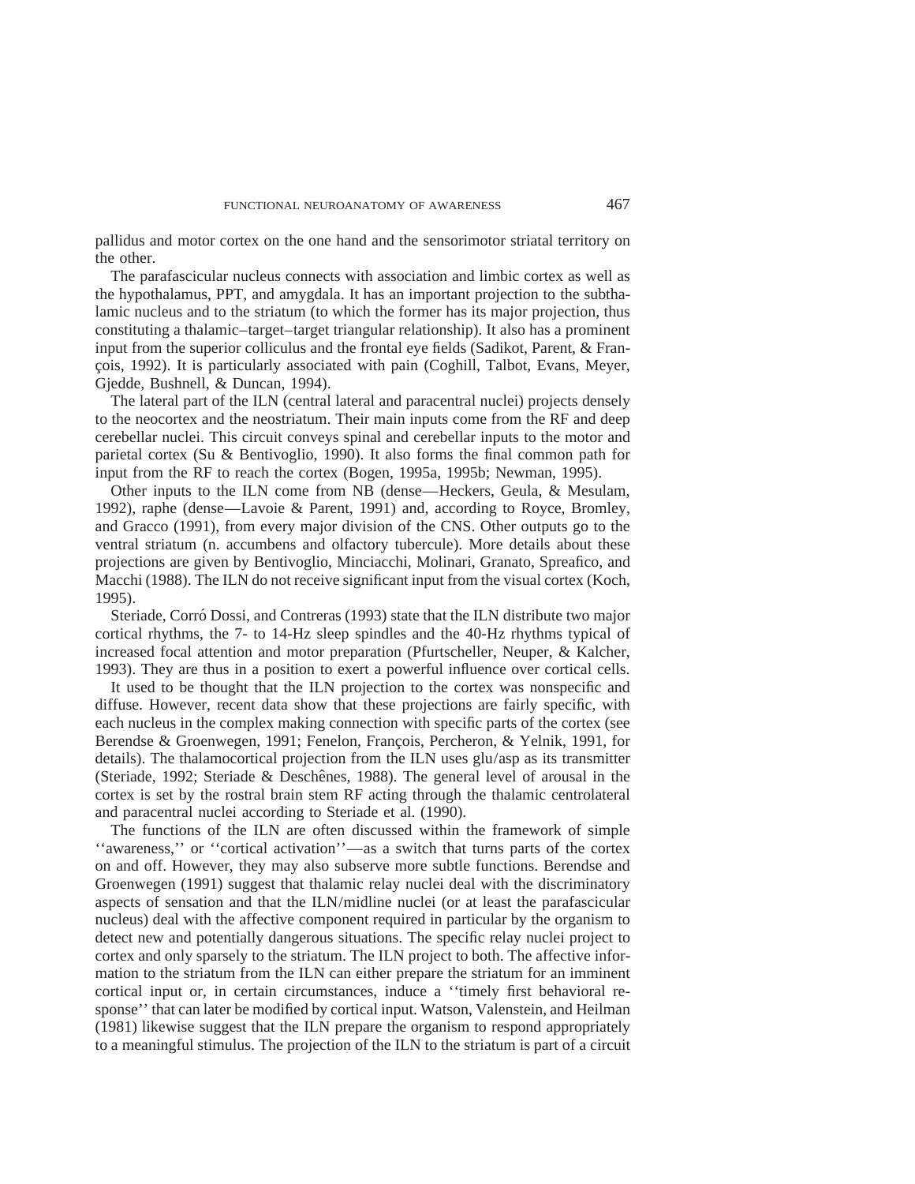pallidus and motor cortex on the one hand and the sensorimotor striatal territory on the other.

The parafascicular nucleus connects with association and limbic cortex as well as the hypothalamus, PPT, and amygdala. It has an important projection to the subthalamic nucleus and to the striatum (to which the former has its major projection, thus constituting a thalamic–target–target triangular relationship). It also has a prominent input from the superior colliculus and the frontal eye fields (Sadikot, Parent, & Francois, 1992). It is particularly associated with pain (Coghill, Talbot, Evans, Meyer, Gjedde, Bushnell, & Duncan, 1994).

The lateral part of the ILN (central lateral and paracentral nuclei) projects densely to the neocortex and the neostriatum. Their main inputs come from the RF and deep cerebellar nuclei. This circuit conveys spinal and cerebellar inputs to the motor and parietal cortex (Su & Bentivoglio, 1990). It also forms the final common path for input from the RF to reach the cortex (Bogen, 1995a, 1995b; Newman, 1995).

Other inputs to the ILN come from NB (dense—Heckers, Geula, & Mesulam, 1992), raphe (dense—Lavoie & Parent, 1991) and, according to Royce, Bromley, and Gracco (1991), from every major division of the CNS. Other outputs go to the ventral striatum (n. accumbens and olfactory tubercule). More details about these projections are given by Bentivoglio, Minciacchi, Molinari, Granato, Spreafico, and Macchi (1988). The ILN do not receive significant input from the visual cortex (Koch, 1995).

Steriade, Corró Dossi, and Contreras (1993) state that the ILN distribute two major cortical rhythms, the 7- to 14-Hz sleep spindles and the 40-Hz rhythms typical of increased focal attention and motor preparation (Pfurtscheller, Neuper, & Kalcher, 1993). They are thus in a position to exert a powerful influence over cortical cells.

It used to be thought that the ILN projection to the cortex was nonspecific and diffuse. However, recent data show that these projections are fairly specific, with each nucleus in the complex making connection with specific parts of the cortex (see Berendse & Groenwegen, 1991; Fenelon, François, Percheron, & Yelnik, 1991, for details). The thalamocortical projection from the ILN uses glu/asp as its transmitter (Steriade, 1992; Steriade & Deschênes, 1988). The general level of arousal in the cortex is set by the rostral brain stem RF acting through the thalamic centrolateral and paracentral nuclei according to Steriade et al. (1990).

The functions of the ILN are often discussed within the framework of simple ''awareness,'' or ''cortical activation''—as a switch that turns parts of the cortex on and off. However, they may also subserve more subtle functions. Berendse and Groenwegen (1991) suggest that thalamic relay nuclei deal with the discriminatory aspects of sensation and that the ILN/midline nuclei (or at least the parafascicular nucleus) deal with the affective component required in particular by the organism to detect new and potentially dangerous situations. The specific relay nuclei project to cortex and only sparsely to the striatum. The ILN project to both. The affective information to the striatum from the ILN can either prepare the striatum for an imminent cortical input or, in certain circumstances, induce a ''timely first behavioral response'' that can later be modified by cortical input. Watson, Valenstein, and Heilman (1981) likewise suggest that the ILN prepare the organism to respond appropriately to a meaningful stimulus. The projection of the ILN to the striatum is part of a circuit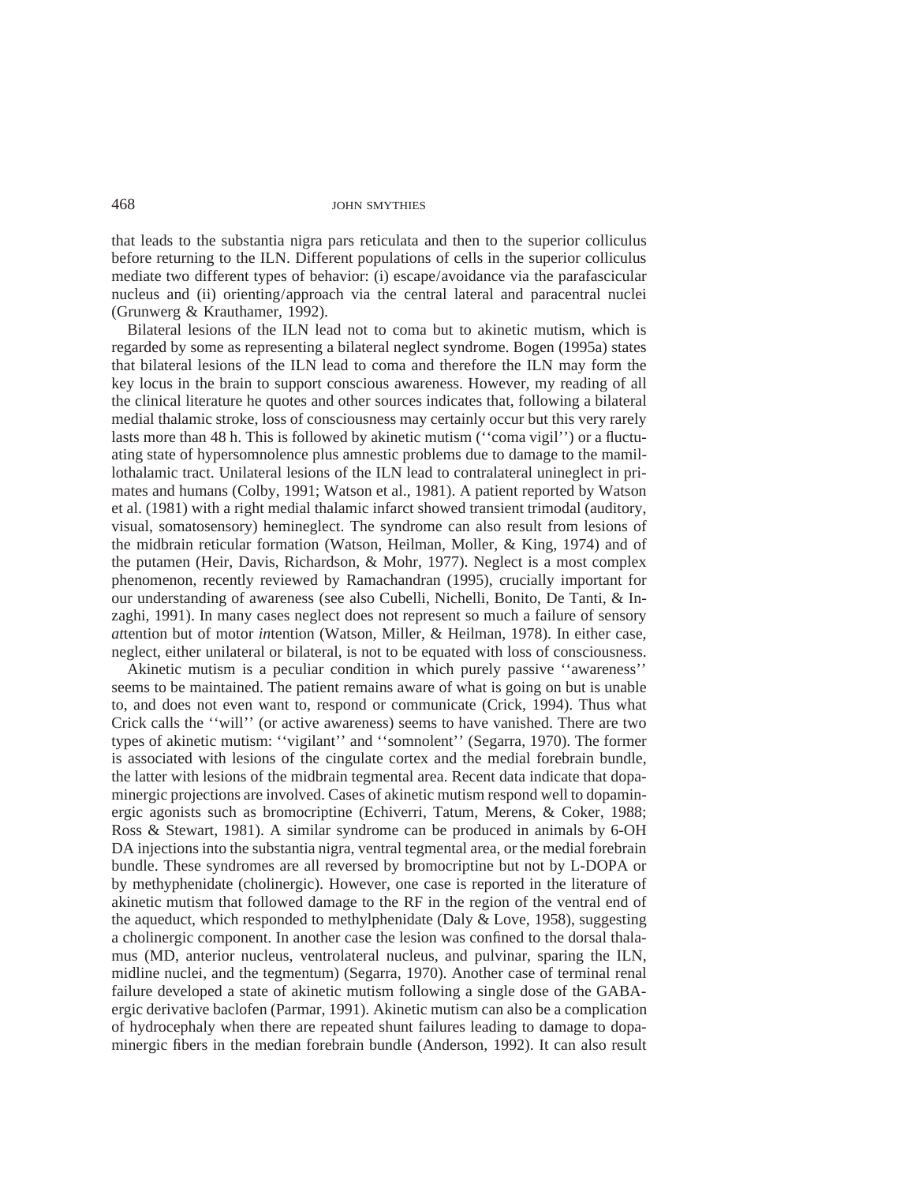that leads to the substantia nigra pars reticulata and then to the superior colliculus before returning to the ILN. Different populations of cells in the superior colliculus mediate two different types of behavior: (i) escape/avoidance via the parafascicular nucleus and (ii) orienting/approach via the central lateral and paracentral nuclei (Grunwerg & Krauthamer, 1992).

Bilateral lesions of the ILN lead not to coma but to akinetic mutism, which is regarded by some as representing a bilateral neglect syndrome. Bogen (1995a) states that bilateral lesions of the ILN lead to coma and therefore the ILN may form the key locus in the brain to support conscious awareness. However, my reading of all the clinical literature he quotes and other sources indicates that, following a bilateral medial thalamic stroke, loss of consciousness may certainly occur but this very rarely lasts more than 48 h. This is followed by akinetic mutism (''coma vigil'') or a fluctuating state of hypersomnolence plus amnestic problems due to damage to the mamillothalamic tract. Unilateral lesions of the ILN lead to contralateral unineglect in primates and humans (Colby, 1991; Watson et al., 1981). A patient reported by Watson et al. (1981) with a right medial thalamic infarct showed transient trimodal (auditory, visual, somatosensory) hemineglect. The syndrome can also result from lesions of the midbrain reticular formation (Watson, Heilman, Moller, & King, 1974) and of the putamen (Heir, Davis, Richardson, & Mohr, 1977). Neglect is a most complex phenomenon, recently reviewed by Ramachandran (1995), crucially important for our understanding of awareness (see also Cubelli, Nichelli, Bonito, De Tanti, & Inzaghi, 1991). In many cases neglect does not represent so much a failure of sensory *at*tention but of motor *in*tention (Watson, Miller, & Heilman, 1978). In either case, neglect, either unilateral or bilateral, is not to be equated with loss of consciousness.

Akinetic mutism is a peculiar condition in which purely passive ''awareness'' seems to be maintained. The patient remains aware of what is going on but is unable to, and does not even want to, respond or communicate (Crick, 1994). Thus what Crick calls the ''will'' (or active awareness) seems to have vanished. There are two types of akinetic mutism: ''vigilant'' and ''somnolent'' (Segarra, 1970). The former is associated with lesions of the cingulate cortex and the medial forebrain bundle, the latter with lesions of the midbrain tegmental area. Recent data indicate that dopaminergic projections are involved. Cases of akinetic mutism respond well to dopaminergic agonists such as bromocriptine (Echiverri, Tatum, Merens, & Coker, 1988; Ross & Stewart, 1981). A similar syndrome can be produced in animals by 6-OH DA injections into the substantia nigra, ventral tegmental area, or the medial forebrain bundle. These syndromes are all reversed by bromocriptine but not by L-DOPA or by methyphenidate (cholinergic). However, one case is reported in the literature of akinetic mutism that followed damage to the RF in the region of the ventral end of the aqueduct, which responded to methylphenidate (Daly  $\&$  Love, 1958), suggesting a cholinergic component. In another case the lesion was confined to the dorsal thalamus (MD, anterior nucleus, ventrolateral nucleus, and pulvinar, sparing the ILN, midline nuclei, and the tegmentum) (Segarra, 1970). Another case of terminal renal failure developed a state of akinetic mutism following a single dose of the GABAergic derivative baclofen (Parmar, 1991). Akinetic mutism can also be a complication of hydrocephaly when there are repeated shunt failures leading to damage to dopaminergic fibers in the median forebrain bundle (Anderson, 1992). It can also result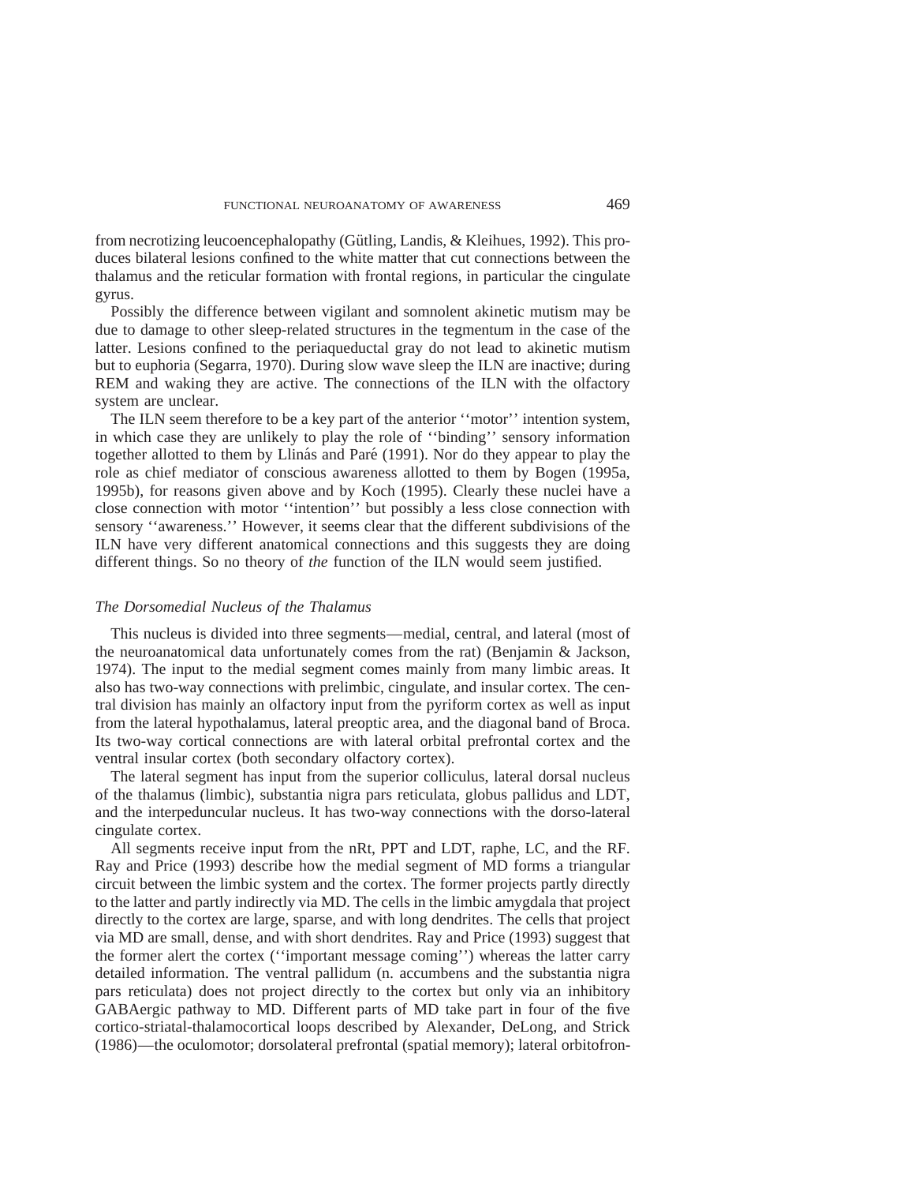from necrotizing leucoencephalopathy (Gütling, Landis,  $&$  Kleihues, 1992). This produces bilateral lesions confined to the white matter that cut connections between the thalamus and the reticular formation with frontal regions, in particular the cingulate gyrus.

Possibly the difference between vigilant and somnolent akinetic mutism may be due to damage to other sleep-related structures in the tegmentum in the case of the latter. Lesions confined to the periaqueductal gray do not lead to akinetic mutism but to euphoria (Segarra, 1970). During slow wave sleep the ILN are inactive; during REM and waking they are active. The connections of the ILN with the olfactory system are unclear.

The ILN seem therefore to be a key part of the anterior ''motor'' intention system, in which case they are unlikely to play the role of ''binding'' sensory information together allotted to them by Llinás and Paré (1991). Nor do they appear to play the role as chief mediator of conscious awareness allotted to them by Bogen (1995a, 1995b), for reasons given above and by Koch (1995). Clearly these nuclei have a close connection with motor ''intention'' but possibly a less close connection with sensory ''awareness.'' However, it seems clear that the different subdivisions of the ILN have very different anatomical connections and this suggests they are doing different things. So no theory of *the* function of the ILN would seem justified.

## *The Dorsomedial Nucleus of the Thalamus*

This nucleus is divided into three segments—medial, central, and lateral (most of the neuroanatomical data unfortunately comes from the rat) (Benjamin & Jackson, 1974). The input to the medial segment comes mainly from many limbic areas. It also has two-way connections with prelimbic, cingulate, and insular cortex. The central division has mainly an olfactory input from the pyriform cortex as well as input from the lateral hypothalamus, lateral preoptic area, and the diagonal band of Broca. Its two-way cortical connections are with lateral orbital prefrontal cortex and the ventral insular cortex (both secondary olfactory cortex).

The lateral segment has input from the superior colliculus, lateral dorsal nucleus of the thalamus (limbic), substantia nigra pars reticulata, globus pallidus and LDT, and the interpeduncular nucleus. It has two-way connections with the dorso-lateral cingulate cortex.

All segments receive input from the nRt, PPT and LDT, raphe, LC, and the RF. Ray and Price (1993) describe how the medial segment of MD forms a triangular circuit between the limbic system and the cortex. The former projects partly directly to the latter and partly indirectly via MD. The cells in the limbic amygdala that project directly to the cortex are large, sparse, and with long dendrites. The cells that project via MD are small, dense, and with short dendrites. Ray and Price (1993) suggest that the former alert the cortex (''important message coming'') whereas the latter carry detailed information. The ventral pallidum (n. accumbens and the substantia nigra pars reticulata) does not project directly to the cortex but only via an inhibitory GABAergic pathway to MD. Different parts of MD take part in four of the five cortico-striatal-thalamocortical loops described by Alexander, DeLong, and Strick (1986)—the oculomotor; dorsolateral prefrontal (spatial memory); lateral orbitofron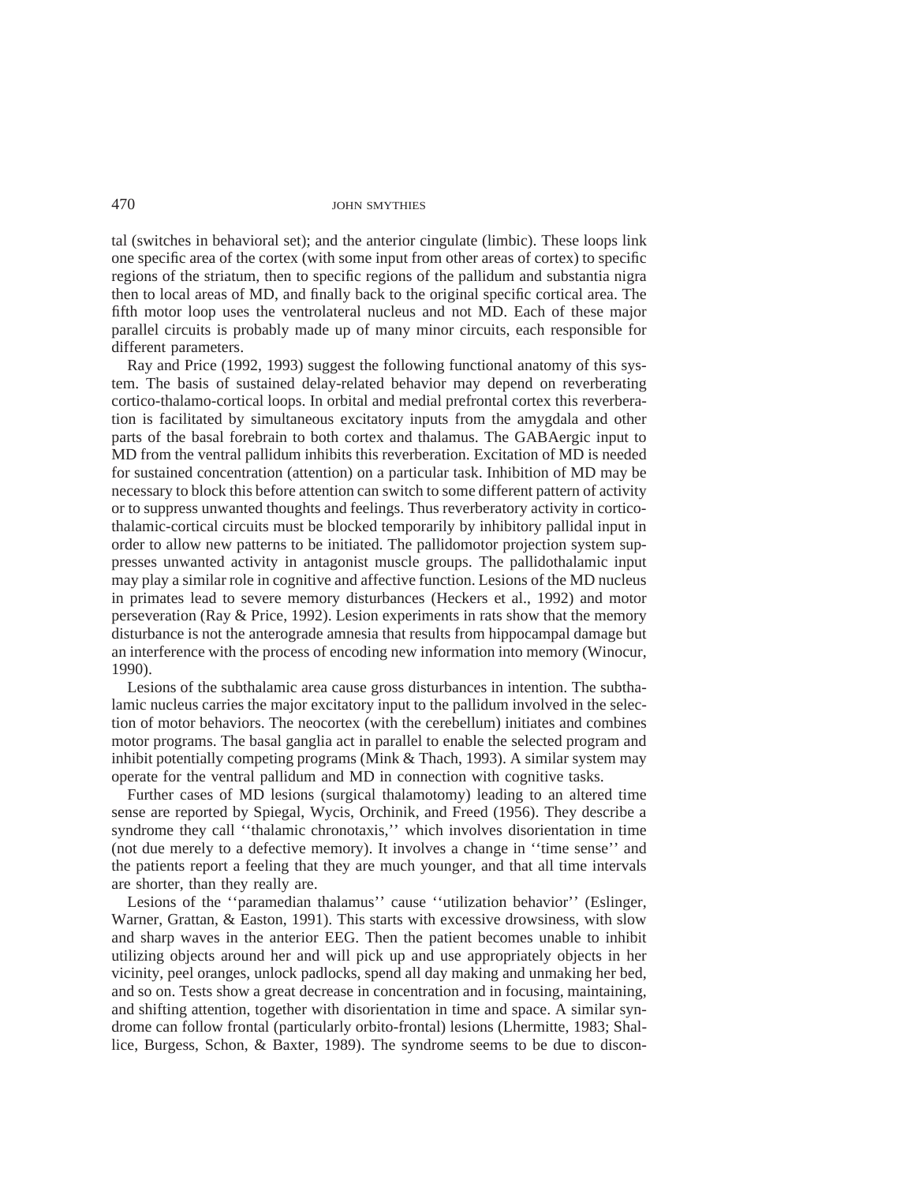tal (switches in behavioral set); and the anterior cingulate (limbic). These loops link one specific area of the cortex (with some input from other areas of cortex) to specific regions of the striatum, then to specific regions of the pallidum and substantia nigra then to local areas of MD, and finally back to the original specific cortical area. The fifth motor loop uses the ventrolateral nucleus and not MD. Each of these major parallel circuits is probably made up of many minor circuits, each responsible for different parameters.

Ray and Price (1992, 1993) suggest the following functional anatomy of this system. The basis of sustained delay-related behavior may depend on reverberating cortico-thalamo-cortical loops. In orbital and medial prefrontal cortex this reverberation is facilitated by simultaneous excitatory inputs from the amygdala and other parts of the basal forebrain to both cortex and thalamus. The GABAergic input to MD from the ventral pallidum inhibits this reverberation. Excitation of MD is needed for sustained concentration (attention) on a particular task. Inhibition of MD may be necessary to block this before attention can switch to some different pattern of activity or to suppress unwanted thoughts and feelings. Thus reverberatory activity in corticothalamic-cortical circuits must be blocked temporarily by inhibitory pallidal input in order to allow new patterns to be initiated. The pallidomotor projection system suppresses unwanted activity in antagonist muscle groups. The pallidothalamic input may play a similar role in cognitive and affective function. Lesions of the MD nucleus in primates lead to severe memory disturbances (Heckers et al., 1992) and motor perseveration (Ray & Price, 1992). Lesion experiments in rats show that the memory disturbance is not the anterograde amnesia that results from hippocampal damage but an interference with the process of encoding new information into memory (Winocur, 1990).

Lesions of the subthalamic area cause gross disturbances in intention. The subthalamic nucleus carries the major excitatory input to the pallidum involved in the selection of motor behaviors. The neocortex (with the cerebellum) initiates and combines motor programs. The basal ganglia act in parallel to enable the selected program and inhibit potentially competing programs (Mink & Thach, 1993). A similar system may operate for the ventral pallidum and MD in connection with cognitive tasks.

Further cases of MD lesions (surgical thalamotomy) leading to an altered time sense are reported by Spiegal, Wycis, Orchinik, and Freed (1956). They describe a syndrome they call "thalamic chronotaxis," which involves disorientation in time (not due merely to a defective memory). It involves a change in ''time sense'' and the patients report a feeling that they are much younger, and that all time intervals are shorter, than they really are.

Lesions of the "paramedian thalamus" cause "utilization behavior" (Eslinger, Warner, Grattan, & Easton, 1991). This starts with excessive drowsiness, with slow and sharp waves in the anterior EEG. Then the patient becomes unable to inhibit utilizing objects around her and will pick up and use appropriately objects in her vicinity, peel oranges, unlock padlocks, spend all day making and unmaking her bed, and so on. Tests show a great decrease in concentration and in focusing, maintaining, and shifting attention, together with disorientation in time and space. A similar syndrome can follow frontal (particularly orbito-frontal) lesions (Lhermitte, 1983; Shallice, Burgess, Schon, & Baxter, 1989). The syndrome seems to be due to discon-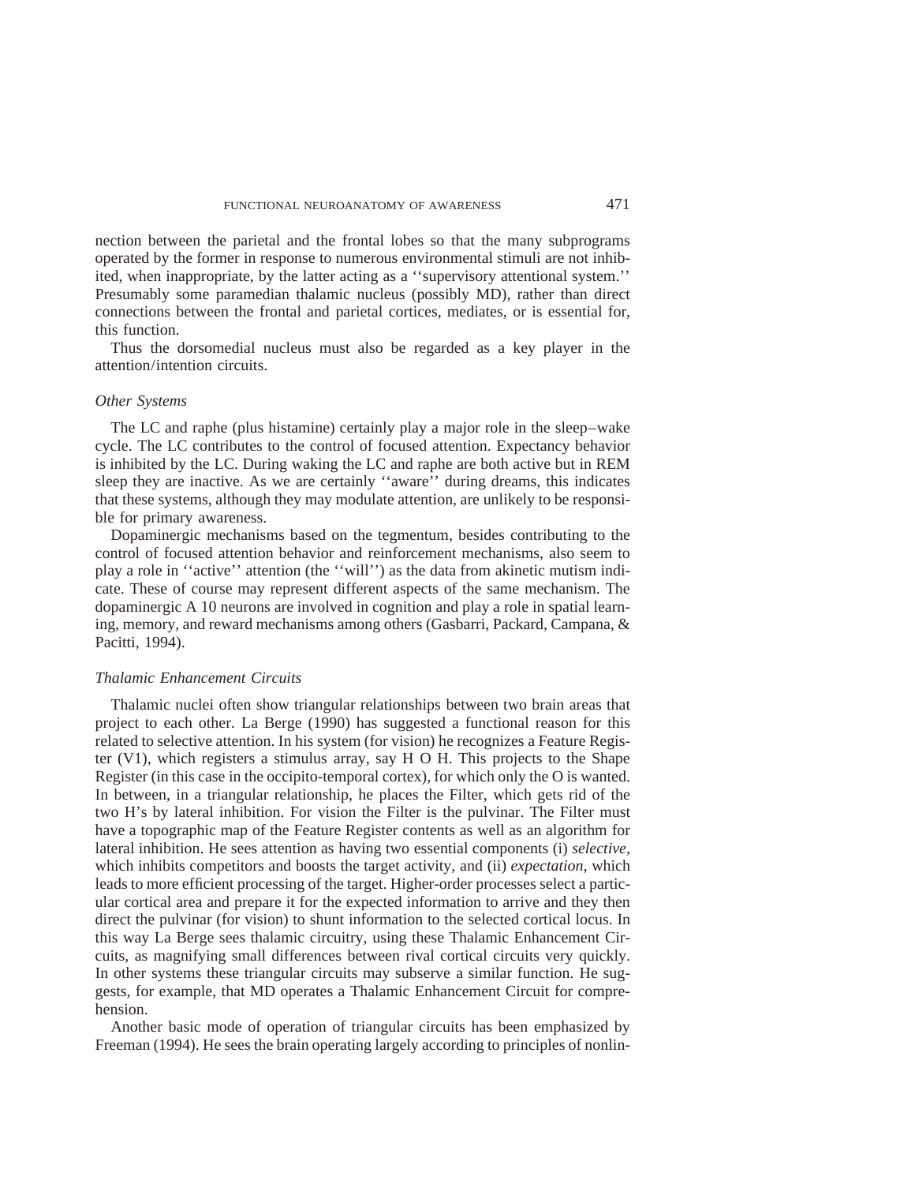nection between the parietal and the frontal lobes so that the many subprograms operated by the former in response to numerous environmental stimuli are not inhibited, when inappropriate, by the latter acting as a ''supervisory attentional system.'' Presumably some paramedian thalamic nucleus (possibly MD), rather than direct connections between the frontal and parietal cortices, mediates, or is essential for, this function.

Thus the dorsomedial nucleus must also be regarded as a key player in the attention/intention circuits.

#### *Other Systems*

The LC and raphe (plus histamine) certainly play a major role in the sleep–wake cycle. The LC contributes to the control of focused attention. Expectancy behavior is inhibited by the LC. During waking the LC and raphe are both active but in REM sleep they are inactive. As we are certainly ''aware'' during dreams, this indicates that these systems, although they may modulate attention, are unlikely to be responsible for primary awareness.

Dopaminergic mechanisms based on the tegmentum, besides contributing to the control of focused attention behavior and reinforcement mechanisms, also seem to play a role in ''active'' attention (the ''will'') as the data from akinetic mutism indicate. These of course may represent different aspects of the same mechanism. The dopaminergic A 10 neurons are involved in cognition and play a role in spatial learning, memory, and reward mechanisms among others (Gasbarri, Packard, Campana, & Pacitti, 1994).

#### *Thalamic Enhancement Circuits*

Thalamic nuclei often show triangular relationships between two brain areas that project to each other. La Berge (1990) has suggested a functional reason for this related to selective attention. In his system (for vision) he recognizes a Feature Register (V1), which registers a stimulus array, say H O H. This projects to the Shape Register (in this case in the occipito-temporal cortex), for which only the O is wanted. In between, in a triangular relationship, he places the Filter, which gets rid of the two H's by lateral inhibition. For vision the Filter is the pulvinar. The Filter must have a topographic map of the Feature Register contents as well as an algorithm for lateral inhibition. He sees attention as having two essential components (i) *selective,* which inhibits competitors and boosts the target activity, and (ii) *expectation,* which leads to more efficient processing of the target. Higher-order processes select a particular cortical area and prepare it for the expected information to arrive and they then direct the pulvinar (for vision) to shunt information to the selected cortical locus. In this way La Berge sees thalamic circuitry, using these Thalamic Enhancement Circuits, as magnifying small differences between rival cortical circuits very quickly. In other systems these triangular circuits may subserve a similar function. He suggests, for example, that MD operates a Thalamic Enhancement Circuit for comprehension.

Another basic mode of operation of triangular circuits has been emphasized by Freeman (1994). He sees the brain operating largely according to principles of nonlin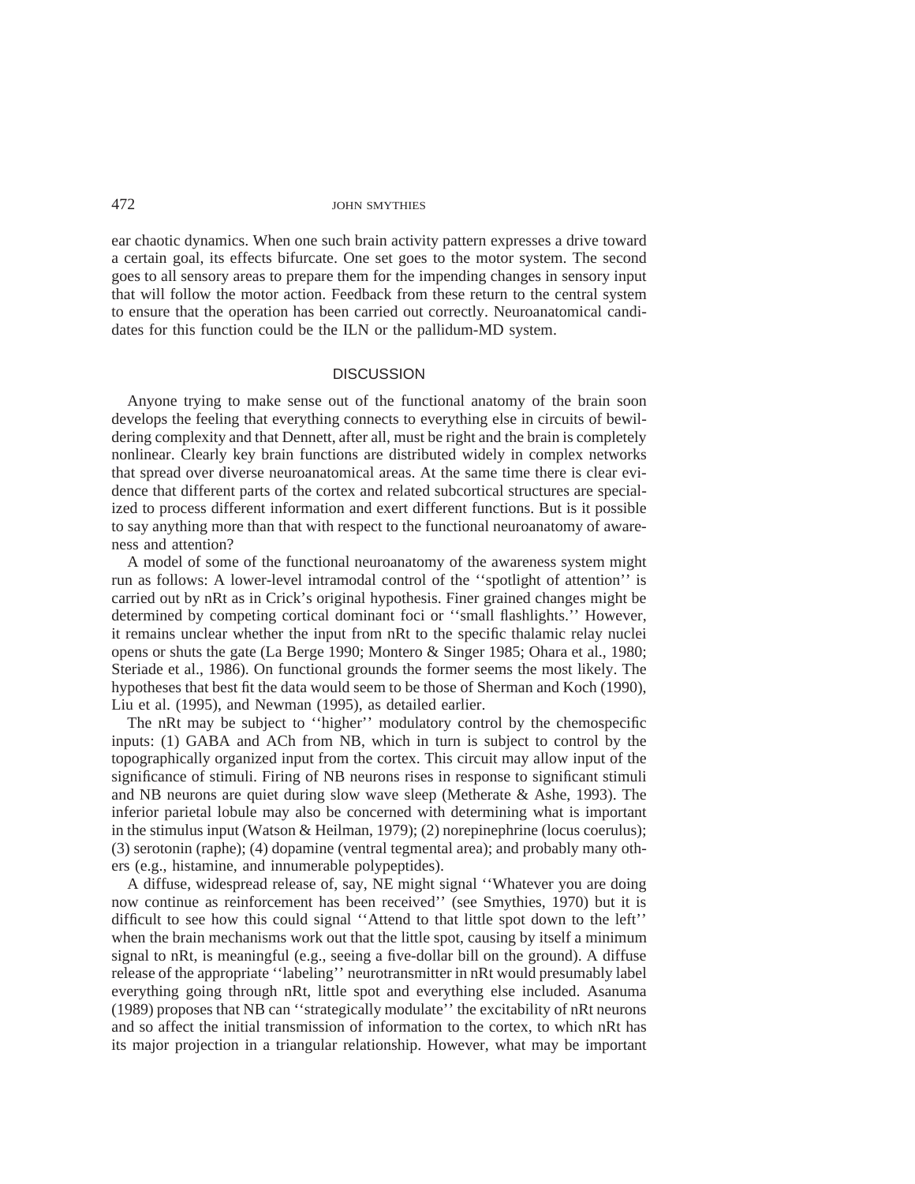ear chaotic dynamics. When one such brain activity pattern expresses a drive toward a certain goal, its effects bifurcate. One set goes to the motor system. The second goes to all sensory areas to prepare them for the impending changes in sensory input that will follow the motor action. Feedback from these return to the central system to ensure that the operation has been carried out correctly. Neuroanatomical candidates for this function could be the ILN or the pallidum-MD system.

#### **DISCUSSION**

Anyone trying to make sense out of the functional anatomy of the brain soon develops the feeling that everything connects to everything else in circuits of bewildering complexity and that Dennett, after all, must be right and the brain is completely nonlinear. Clearly key brain functions are distributed widely in complex networks that spread over diverse neuroanatomical areas. At the same time there is clear evidence that different parts of the cortex and related subcortical structures are specialized to process different information and exert different functions. But is it possible to say anything more than that with respect to the functional neuroanatomy of awareness and attention?

A model of some of the functional neuroanatomy of the awareness system might run as follows: A lower-level intramodal control of the ''spotlight of attention'' is carried out by nRt as in Crick's original hypothesis. Finer grained changes might be determined by competing cortical dominant foci or ''small flashlights.'' However, it remains unclear whether the input from nRt to the specific thalamic relay nuclei opens or shuts the gate (La Berge 1990; Montero & Singer 1985; Ohara et al., 1980; Steriade et al., 1986). On functional grounds the former seems the most likely. The hypotheses that best fit the data would seem to be those of Sherman and Koch (1990), Liu et al. (1995), and Newman (1995), as detailed earlier.

The nRt may be subject to ''higher'' modulatory control by the chemospecific inputs: (1) GABA and ACh from NB, which in turn is subject to control by the topographically organized input from the cortex. This circuit may allow input of the significance of stimuli. Firing of NB neurons rises in response to significant stimuli and NB neurons are quiet during slow wave sleep (Metherate & Ashe, 1993). The inferior parietal lobule may also be concerned with determining what is important in the stimulus input (Watson & Heilman, 1979); (2) norepinephrine (locus coerulus); (3) serotonin (raphe); (4) dopamine (ventral tegmental area); and probably many others (e.g., histamine, and innumerable polypeptides).

A diffuse, widespread release of, say, NE might signal ''Whatever you are doing now continue as reinforcement has been received'' (see Smythies, 1970) but it is difficult to see how this could signal ''Attend to that little spot down to the left'' when the brain mechanisms work out that the little spot, causing by itself a minimum signal to nRt, is meaningful (e.g., seeing a five-dollar bill on the ground). A diffuse release of the appropriate ''labeling'' neurotransmitter in nRt would presumably label everything going through nRt, little spot and everything else included. Asanuma (1989) proposes that NB can ''strategically modulate'' the excitability of nRt neurons and so affect the initial transmission of information to the cortex, to which nRt has its major projection in a triangular relationship. However, what may be important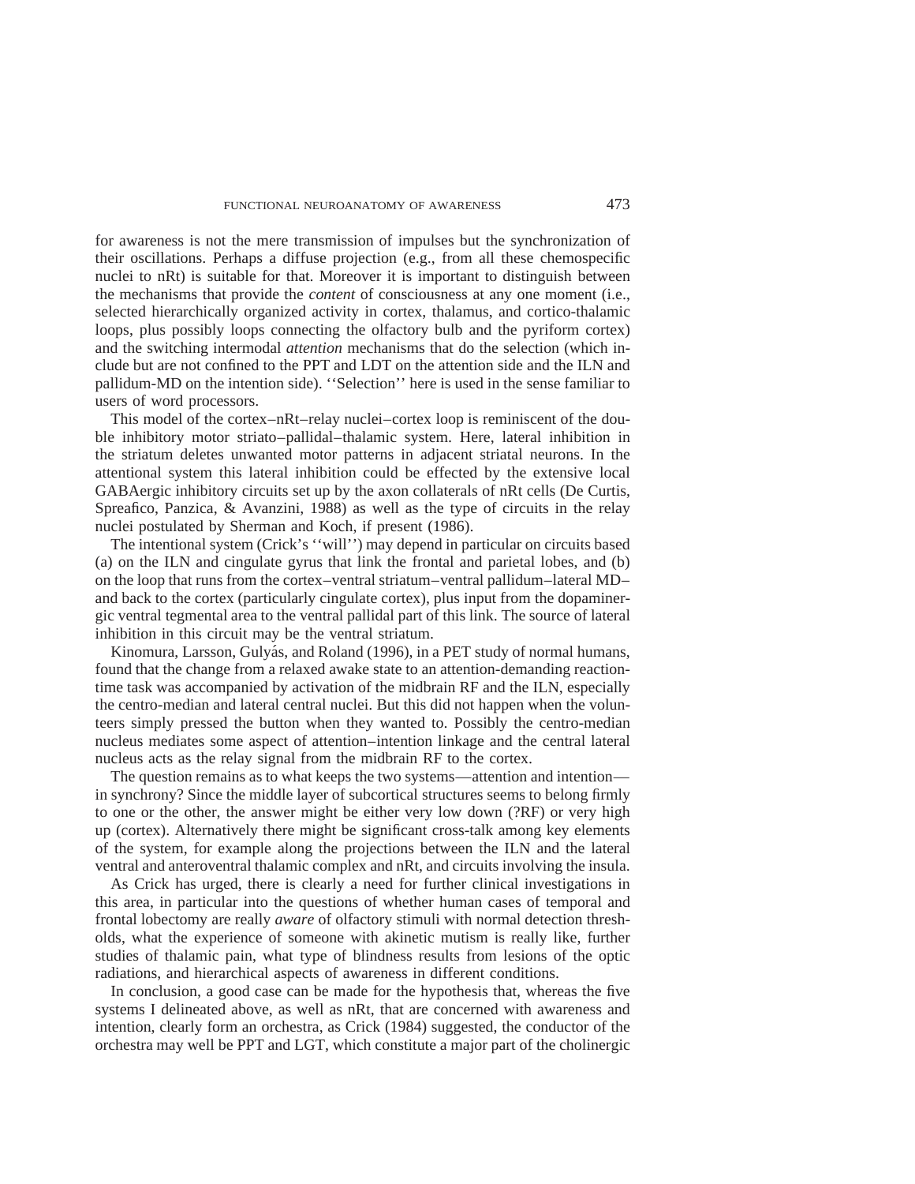for awareness is not the mere transmission of impulses but the synchronization of their oscillations. Perhaps a diffuse projection (e.g., from all these chemospecific nuclei to nRt) is suitable for that. Moreover it is important to distinguish between the mechanisms that provide the *content* of consciousness at any one moment (i.e., selected hierarchically organized activity in cortex, thalamus, and cortico-thalamic loops, plus possibly loops connecting the olfactory bulb and the pyriform cortex) and the switching intermodal *attention* mechanisms that do the selection (which include but are not confined to the PPT and LDT on the attention side and the ILN and pallidum-MD on the intention side). ''Selection'' here is used in the sense familiar to users of word processors.

This model of the cortex–nRt–relay nuclei–cortex loop is reminiscent of the double inhibitory motor striato–pallidal–thalamic system. Here, lateral inhibition in the striatum deletes unwanted motor patterns in adjacent striatal neurons. In the attentional system this lateral inhibition could be effected by the extensive local GABAergic inhibitory circuits set up by the axon collaterals of nRt cells (De Curtis, Spreafico, Panzica, & Avanzini, 1988) as well as the type of circuits in the relay nuclei postulated by Sherman and Koch, if present (1986).

The intentional system (Crick's ''will'') may depend in particular on circuits based (a) on the ILN and cingulate gyrus that link the frontal and parietal lobes, and (b) on the loop that runs from the cortex–ventral striatum–ventral pallidum–lateral MD– and back to the cortex (particularly cingulate cortex), plus input from the dopaminergic ventral tegmental area to the ventral pallidal part of this link. The source of lateral inhibition in this circuit may be the ventral striatum.

Kinomura, Larsson, Gulyás, and Roland (1996), in a PET study of normal humans, found that the change from a relaxed awake state to an attention-demanding reactiontime task was accompanied by activation of the midbrain RF and the ILN, especially the centro-median and lateral central nuclei. But this did not happen when the volunteers simply pressed the button when they wanted to. Possibly the centro-median nucleus mediates some aspect of attention–intention linkage and the central lateral nucleus acts as the relay signal from the midbrain RF to the cortex.

The question remains as to what keeps the two systems—attention and intention in synchrony? Since the middle layer of subcortical structures seems to belong firmly to one or the other, the answer might be either very low down (?RF) or very high up (cortex). Alternatively there might be significant cross-talk among key elements of the system, for example along the projections between the ILN and the lateral ventral and anteroventral thalamic complex and nRt, and circuits involving the insula.

As Crick has urged, there is clearly a need for further clinical investigations in this area, in particular into the questions of whether human cases of temporal and frontal lobectomy are really *aware* of olfactory stimuli with normal detection thresholds, what the experience of someone with akinetic mutism is really like, further studies of thalamic pain, what type of blindness results from lesions of the optic radiations, and hierarchical aspects of awareness in different conditions.

In conclusion, a good case can be made for the hypothesis that, whereas the five systems I delineated above, as well as nRt, that are concerned with awareness and intention, clearly form an orchestra, as Crick (1984) suggested, the conductor of the orchestra may well be PPT and LGT, which constitute a major part of the cholinergic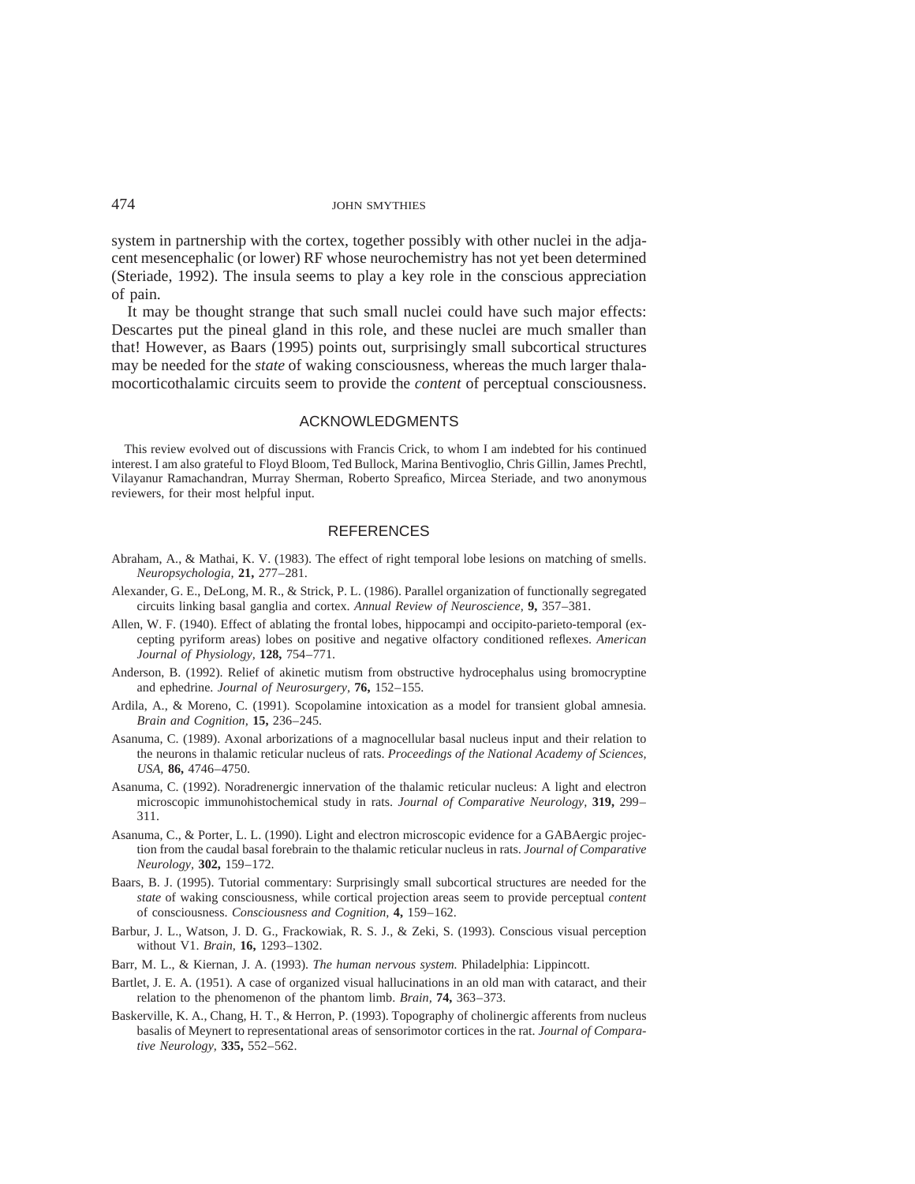system in partnership with the cortex, together possibly with other nuclei in the adjacent mesencephalic (or lower) RF whose neurochemistry has not yet been determined (Steriade, 1992). The insula seems to play a key role in the conscious appreciation of pain.

It may be thought strange that such small nuclei could have such major effects: Descartes put the pineal gland in this role, and these nuclei are much smaller than that! However, as Baars (1995) points out, surprisingly small subcortical structures may be needed for the *state* of waking consciousness, whereas the much larger thalamocorticothalamic circuits seem to provide the *content* of perceptual consciousness.

## ACKNOWLEDGMENTS

This review evolved out of discussions with Francis Crick, to whom I am indebted for his continued interest. I am also grateful to Floyd Bloom, Ted Bullock, Marina Bentivoglio, Chris Gillin, James Prechtl, Vilayanur Ramachandran, Murray Sherman, Roberto Spreafico, Mircea Steriade, and two anonymous reviewers, for their most helpful input.

## **REFERENCES**

- Abraham, A., & Mathai, K. V. (1983). The effect of right temporal lobe lesions on matching of smells. *Neuropsychologia,* **21,** 277–281.
- Alexander, G. E., DeLong, M. R., & Strick, P. L. (1986). Parallel organization of functionally segregated circuits linking basal ganglia and cortex. *Annual Review of Neuroscience,* **9,** 357–381.
- Allen, W. F. (1940). Effect of ablating the frontal lobes, hippocampi and occipito-parieto-temporal (excepting pyriform areas) lobes on positive and negative olfactory conditioned reflexes. *American Journal of Physiology,* **128,** 754–771.
- Anderson, B. (1992). Relief of akinetic mutism from obstructive hydrocephalus using bromocryptine and ephedrine. *Journal of Neurosurgery,* **76,** 152–155.
- Ardila, A., & Moreno, C. (1991). Scopolamine intoxication as a model for transient global amnesia. *Brain and Cognition,* **15,** 236–245.
- Asanuma, C. (1989). Axonal arborizations of a magnocellular basal nucleus input and their relation to the neurons in thalamic reticular nucleus of rats. *Proceedings of the National Academy of Sciences, USA,* **86,** 4746–4750.
- Asanuma, C. (1992). Noradrenergic innervation of the thalamic reticular nucleus: A light and electron microscopic immunohistochemical study in rats. *Journal of Comparative Neurology,* **319,** 299– 311.
- Asanuma, C., & Porter, L. L. (1990). Light and electron microscopic evidence for a GABAergic projection from the caudal basal forebrain to the thalamic reticular nucleus in rats. *Journal of Comparative Neurology,* **302,** 159–172.
- Baars, B. J. (1995). Tutorial commentary: Surprisingly small subcortical structures are needed for the *state* of waking consciousness, while cortical projection areas seem to provide perceptual *content* of consciousness. *Consciousness and Cognition,* **4,** 159–162.
- Barbur, J. L., Watson, J. D. G., Frackowiak, R. S. J., & Zeki, S. (1993). Conscious visual perception without V1. *Brain,* **16,** 1293–1302.
- Barr, M. L., & Kiernan, J. A. (1993). *The human nervous system.* Philadelphia: Lippincott.
- Bartlet, J. E. A. (1951). A case of organized visual hallucinations in an old man with cataract, and their relation to the phenomenon of the phantom limb. *Brain,* **74,** 363–373.
- Baskerville, K. A., Chang, H. T., & Herron, P. (1993). Topography of cholinergic afferents from nucleus basalis of Meynert to representational areas of sensorimotor cortices in the rat. *Journal of Comparative Neurology,* **335,** 552–562.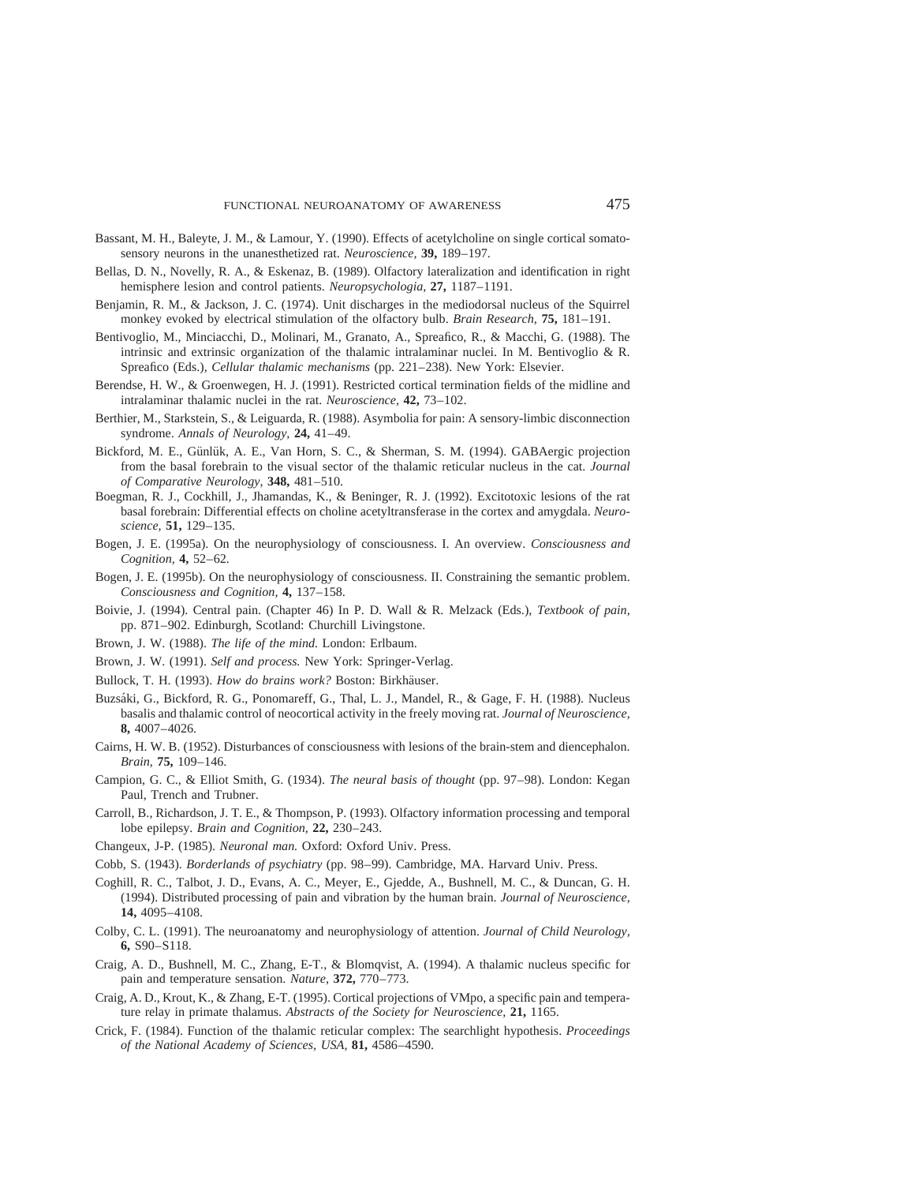- Bassant, M. H., Baleyte, J. M., & Lamour, Y. (1990). Effects of acetylcholine on single cortical somatosensory neurons in the unanesthetized rat. *Neuroscience,* **39,** 189–197.
- Bellas, D. N., Novelly, R. A., & Eskenaz, B. (1989). Olfactory lateralization and identification in right hemisphere lesion and control patients. *Neuropsychologia,* **27,** 1187–1191.
- Benjamin, R. M., & Jackson, J. C. (1974). Unit discharges in the mediodorsal nucleus of the Squirrel monkey evoked by electrical stimulation of the olfactory bulb. *Brain Research,* **75,** 181–191.
- Bentivoglio, M., Minciacchi, D., Molinari, M., Granato, A., Spreafico, R., & Macchi, G. (1988). The intrinsic and extrinsic organization of the thalamic intralaminar nuclei. In M. Bentivoglio & R. Spreafico (Eds.), *Cellular thalamic mechanisms* (pp. 221–238). New York: Elsevier.
- Berendse, H. W., & Groenwegen, H. J. (1991). Restricted cortical termination fields of the midline and intralaminar thalamic nuclei in the rat. *Neuroscience,* **42,** 73–102.
- Berthier, M., Starkstein, S., & Leiguarda, R. (1988). Asymbolia for pain: A sensory-limbic disconnection syndrome. *Annals of Neurology,* **24,** 41–49.
- Bickford, M. E., Günlük, A. E., Van Horn, S. C., & Sherman, S. M. (1994). GABAergic projection from the basal forebrain to the visual sector of the thalamic reticular nucleus in the cat. *Journal of Comparative Neurology,* **348,** 481–510.
- Boegman, R. J., Cockhill, J., Jhamandas, K., & Beninger, R. J. (1992). Excitotoxic lesions of the rat basal forebrain: Differential effects on choline acetyltransferase in the cortex and amygdala. *Neuroscience,* **51,** 129–135.
- Bogen, J. E. (1995a). On the neurophysiology of consciousness. I. An overview. *Consciousness and Cognition,* **4,** 52–62.
- Bogen, J. E. (1995b). On the neurophysiology of consciousness. II. Constraining the semantic problem. *Consciousness and Cognition,* **4,** 137–158.
- Boivie, J. (1994). Central pain. (Chapter 46) In P. D. Wall & R. Melzack (Eds.), *Textbook of pain,* pp. 871–902. Edinburgh, Scotland: Churchill Livingstone.
- Brown, J. W. (1988). *The life of the mind.* London: Erlbaum.
- Brown, J. W. (1991). *Self and process.* New York: Springer-Verlag.
- Bullock, T. H. (1993). *How do brains work?* Boston: Birkhäuser.
- Buzsáki, G., Bickford, R. G., Ponomareff, G., Thal, L. J., Mandel, R., & Gage, F. H. (1988). Nucleus basalis and thalamic control of neocortical activity in the freely moving rat. *Journal of Neuroscience,* **8,** 4007–4026.
- Cairns, H. W. B. (1952). Disturbances of consciousness with lesions of the brain-stem and diencephalon. *Brain,* **75,** 109–146.
- Campion, G. C., & Elliot Smith, G. (1934). *The neural basis of thought* (pp. 97–98). London: Kegan Paul, Trench and Trubner.
- Carroll, B., Richardson, J. T. E., & Thompson, P. (1993). Olfactory information processing and temporal lobe epilepsy. *Brain and Cognition,* **22,** 230–243.
- Changeux, J-P. (1985). *Neuronal man.* Oxford: Oxford Univ. Press.
- Cobb, S. (1943). *Borderlands of psychiatry* (pp. 98–99). Cambridge, MA. Harvard Univ. Press.
- Coghill, R. C., Talbot, J. D., Evans, A. C., Meyer, E., Gjedde, A., Bushnell, M. C., & Duncan, G. H. (1994). Distributed processing of pain and vibration by the human brain. *Journal of Neuroscience,* **14,** 4095–4108.
- Colby, C. L. (1991). The neuroanatomy and neurophysiology of attention. *Journal of Child Neurology,* **6,** S90–S118.
- Craig, A. D., Bushnell, M. C., Zhang, E-T., & Blomqvist, A. (1994). A thalamic nucleus specific for pain and temperature sensation. *Nature,* **372,** 770–773.
- Craig, A. D., Krout, K., & Zhang, E-T. (1995). Cortical projections of VMpo, a specific pain and temperature relay in primate thalamus. *Abstracts of the Society for Neuroscience,* **21,** 1165.
- Crick, F. (1984). Function of the thalamic reticular complex: The searchlight hypothesis. *Proceedings of the National Academy of Sciences, USA,* **81,** 4586–4590.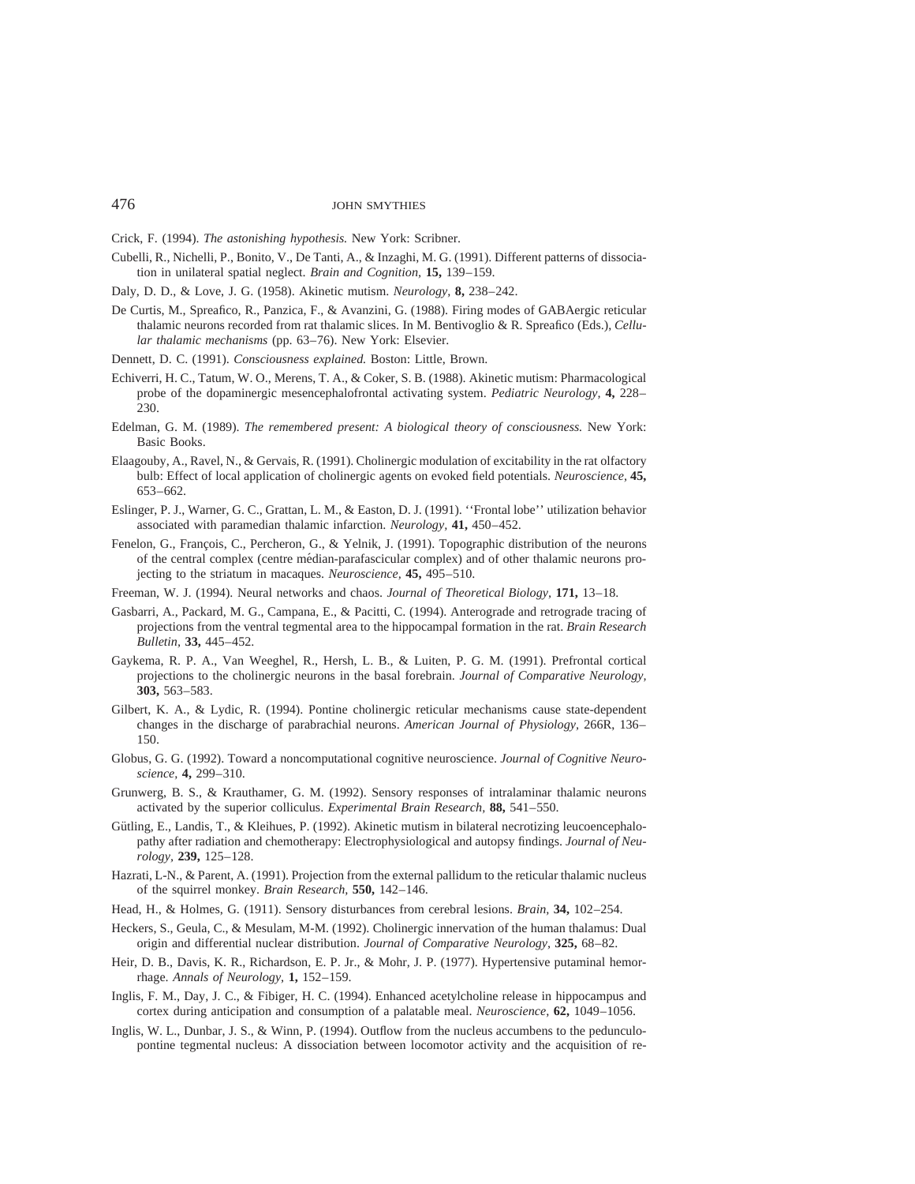Crick, F. (1994). *The astonishing hypothesis.* New York: Scribner.

Cubelli, R., Nichelli, P., Bonito, V., De Tanti, A., & Inzaghi, M. G. (1991). Different patterns of dissociation in unilateral spatial neglect. *Brain and Cognition,* **15,** 139–159.

- De Curtis, M., Spreafico, R., Panzica, F., & Avanzini, G. (1988). Firing modes of GABAergic reticular thalamic neurons recorded from rat thalamic slices. In M. Bentivoglio & R. Spreafico (Eds.), *Cellular thalamic mechanisms* (pp. 63–76). New York: Elsevier.
- Dennett, D. C. (1991). *Consciousness explained.* Boston: Little, Brown.
- Echiverri, H. C., Tatum, W. O., Merens, T. A., & Coker, S. B. (1988). Akinetic mutism: Pharmacological probe of the dopaminergic mesencephalofrontal activating system. *Pediatric Neurology,* **4,** 228– 230.
- Edelman, G. M. (1989). *The remembered present: A biological theory of consciousness.* New York: Basic Books.
- Elaagouby, A., Ravel, N., & Gervais, R. (1991). Cholinergic modulation of excitability in the rat olfactory bulb: Effect of local application of cholinergic agents on evoked field potentials. *Neuroscience,* **45,** 653–662.
- Eslinger, P. J., Warner, G. C., Grattan, L. M., & Easton, D. J. (1991). ''Frontal lobe'' utilization behavior associated with paramedian thalamic infarction. *Neurology,* **41,** 450–452.
- Fenelon, G., François, C., Percheron, G., & Yelnik, J. (1991). Topographic distribution of the neurons of the central complex (centre me´dian-parafascicular complex) and of other thalamic neurons projecting to the striatum in macaques. *Neuroscience,* **45,** 495–510.
- Freeman, W. J. (1994). Neural networks and chaos. *Journal of Theoretical Biology,* **171,** 13–18.
- Gasbarri, A., Packard, M. G., Campana, E., & Pacitti, C. (1994). Anterograde and retrograde tracing of projections from the ventral tegmental area to the hippocampal formation in the rat. *Brain Research Bulletin,* **33,** 445–452.
- Gaykema, R. P. A., Van Weeghel, R., Hersh, L. B., & Luiten, P. G. M. (1991). Prefrontal cortical projections to the cholinergic neurons in the basal forebrain. *Journal of Comparative Neurology,* **303,** 563–583.
- Gilbert, K. A., & Lydic, R. (1994). Pontine cholinergic reticular mechanisms cause state-dependent changes in the discharge of parabrachial neurons. *American Journal of Physiology,* 266R, 136– 150.
- Globus, G. G. (1992). Toward a noncomputational cognitive neuroscience. *Journal of Cognitive Neuroscience,* **4,** 299–310.
- Grunwerg, B. S., & Krauthamer, G. M. (1992). Sensory responses of intralaminar thalamic neurons activated by the superior colliculus. *Experimental Brain Research,* **88,** 541–550.
- Gütling, E., Landis, T., & Kleihues, P. (1992). Akinetic mutism in bilateral necrotizing leucoencephalopathy after radiation and chemotherapy: Electrophysiological and autopsy findings. *Journal of Neurology,* **239,** 125–128.
- Hazrati, L-N., & Parent, A. (1991). Projection from the external pallidum to the reticular thalamic nucleus of the squirrel monkey. *Brain Research,* **550,** 142–146.
- Head, H., & Holmes, G. (1911). Sensory disturbances from cerebral lesions. *Brain,* **34,** 102–254.
- Heckers, S., Geula, C., & Mesulam, M-M. (1992). Cholinergic innervation of the human thalamus: Dual origin and differential nuclear distribution. *Journal of Comparative Neurology,* **325,** 68–82.
- Heir, D. B., Davis, K. R., Richardson, E. P. Jr., & Mohr, J. P. (1977). Hypertensive putaminal hemorrhage. *Annals of Neurology,* **1,** 152–159.
- Inglis, F. M., Day, J. C., & Fibiger, H. C. (1994). Enhanced acetylcholine release in hippocampus and cortex during anticipation and consumption of a palatable meal. *Neuroscience,* **62,** 1049–1056.
- Inglis, W. L., Dunbar, J. S., & Winn, P. (1994). Outflow from the nucleus accumbens to the pedunculopontine tegmental nucleus: A dissociation between locomotor activity and the acquisition of re-

Daly, D. D., & Love, J. G. (1958). Akinetic mutism. *Neurology,* **8,** 238–242.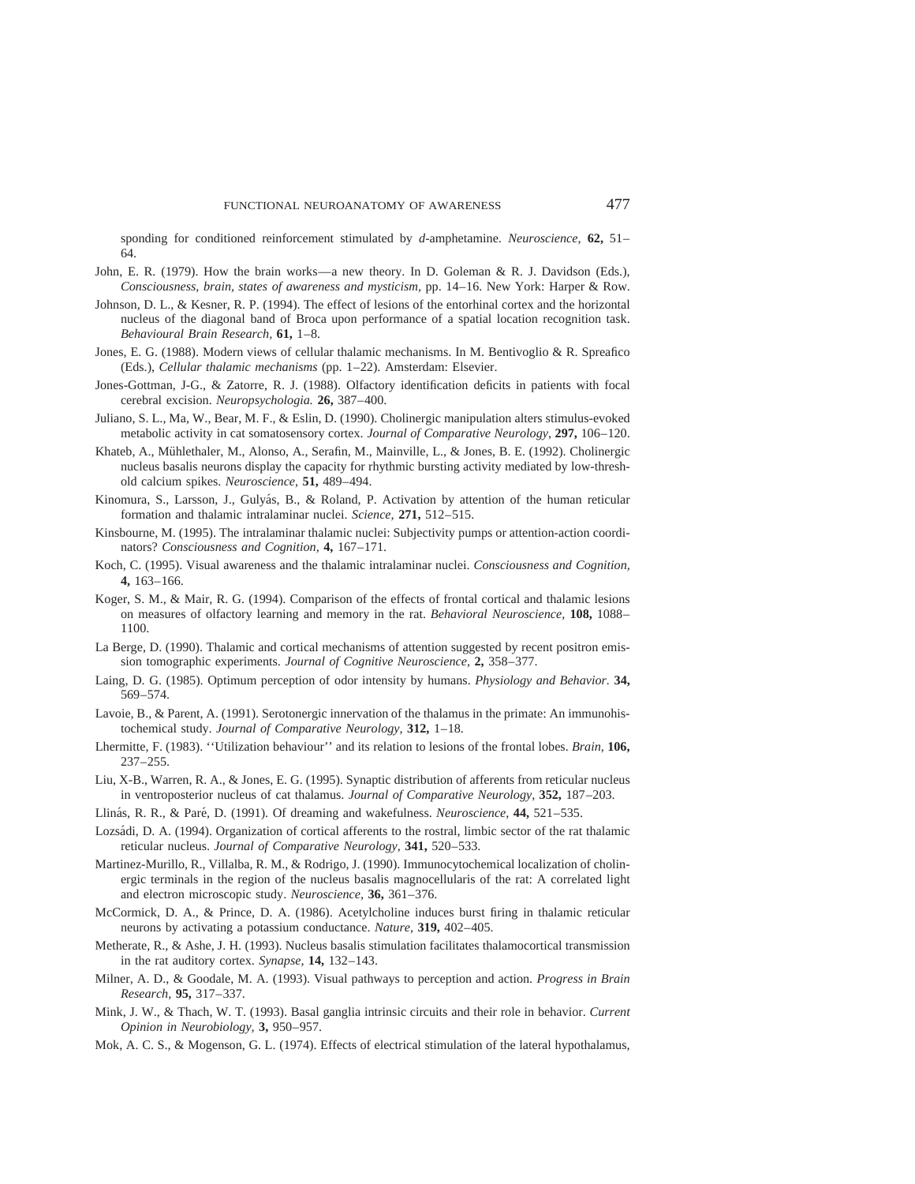sponding for conditioned reinforcement stimulated by *d*-amphetamine. *Neuroscience,* **62,** 51– 64.

- John, E. R. (1979). How the brain works—a new theory. In D. Goleman & R. J. Davidson (Eds.), *Consciousness, brain, states of awareness and mysticism,* pp. 14–16. New York: Harper & Row.
- Johnson, D. L., & Kesner, R. P. (1994). The effect of lesions of the entorhinal cortex and the horizontal nucleus of the diagonal band of Broca upon performance of a spatial location recognition task. *Behavioural Brain Research,* **61,** 1–8.
- Jones, E. G. (1988). Modern views of cellular thalamic mechanisms. In M. Bentivoglio & R. Spreafico (Eds.), *Cellular thalamic mechanisms* (pp. 1–22). Amsterdam: Elsevier.
- Jones-Gottman, J-G., & Zatorre, R. J. (1988). Olfactory identification deficits in patients with focal cerebral excision. *Neuropsychologia.* **26,** 387–400.
- Juliano, S. L., Ma, W., Bear, M. F., & Eslin, D. (1990). Cholinergic manipulation alters stimulus-evoked metabolic activity in cat somatosensory cortex. *Journal of Comparative Neurology,* **297,** 106–120.
- Khateb, A., Mühlethaler, M., Alonso, A., Serafin, M., Mainville, L., & Jones, B. E. (1992). Cholinergic nucleus basalis neurons display the capacity for rhythmic bursting activity mediated by low-threshold calcium spikes. *Neuroscience,* **51,** 489–494.
- Kinomura, S., Larsson, J., Gulyás, B., & Roland, P. Activation by attention of the human reticular formation and thalamic intralaminar nuclei. *Science,* **271,** 512–515.
- Kinsbourne, M. (1995). The intralaminar thalamic nuclei: Subjectivity pumps or attention-action coordinators? *Consciousness and Cognition,* **4,** 167–171.
- Koch, C. (1995). Visual awareness and the thalamic intralaminar nuclei. *Consciousness and Cognition,* **4,** 163–166.
- Koger, S. M., & Mair, R. G. (1994). Comparison of the effects of frontal cortical and thalamic lesions on measures of olfactory learning and memory in the rat. *Behavioral Neuroscience,* **108,** 1088– 1100.
- La Berge, D. (1990). Thalamic and cortical mechanisms of attention suggested by recent positron emission tomographic experiments. *Journal of Cognitive Neuroscience,* **2,** 358–377.
- Laing, D. G. (1985). Optimum perception of odor intensity by humans. *Physiology and Behavior.* **34,** 569–574.
- Lavoie, B., & Parent, A. (1991). Serotonergic innervation of the thalamus in the primate: An immunohistochemical study. *Journal of Comparative Neurology,* **312,** 1–18.
- Lhermitte, F. (1983). ''Utilization behaviour'' and its relation to lesions of the frontal lobes. *Brain,* **106,** 237–255.
- Liu, X-B., Warren, R. A., & Jones, E. G. (1995). Synaptic distribution of afferents from reticular nucleus in ventroposterior nucleus of cat thalamus. *Journal of Comparative Neurology,* **352,** 187–203.
- Llina´s, R. R., & Pare´, D. (1991). Of dreaming and wakefulness. *Neuroscience,* **44,** 521–535.
- Lozsádi, D. A. (1994). Organization of cortical afferents to the rostral, limbic sector of the rat thalamic reticular nucleus. *Journal of Comparative Neurology,* **341,** 520–533.
- Martinez-Murillo, R., Villalba, R. M., & Rodrigo, J. (1990). Immunocytochemical localization of cholinergic terminals in the region of the nucleus basalis magnocellularis of the rat: A correlated light and electron microscopic study. *Neuroscience,* **36,** 361–376.
- McCormick, D. A., & Prince, D. A. (1986). Acetylcholine induces burst firing in thalamic reticular neurons by activating a potassium conductance. *Nature,* **319,** 402–405.
- Metherate, R., & Ashe, J. H. (1993). Nucleus basalis stimulation facilitates thalamocortical transmission in the rat auditory cortex. *Synapse,* **14,** 132–143.
- Milner, A. D., & Goodale, M. A. (1993). Visual pathways to perception and action. *Progress in Brain Research,* **95,** 317–337.
- Mink, J. W., & Thach, W. T. (1993). Basal ganglia intrinsic circuits and their role in behavior. *Current Opinion in Neurobiology,* **3,** 950–957.
- Mok, A. C. S., & Mogenson, G. L. (1974). Effects of electrical stimulation of the lateral hypothalamus,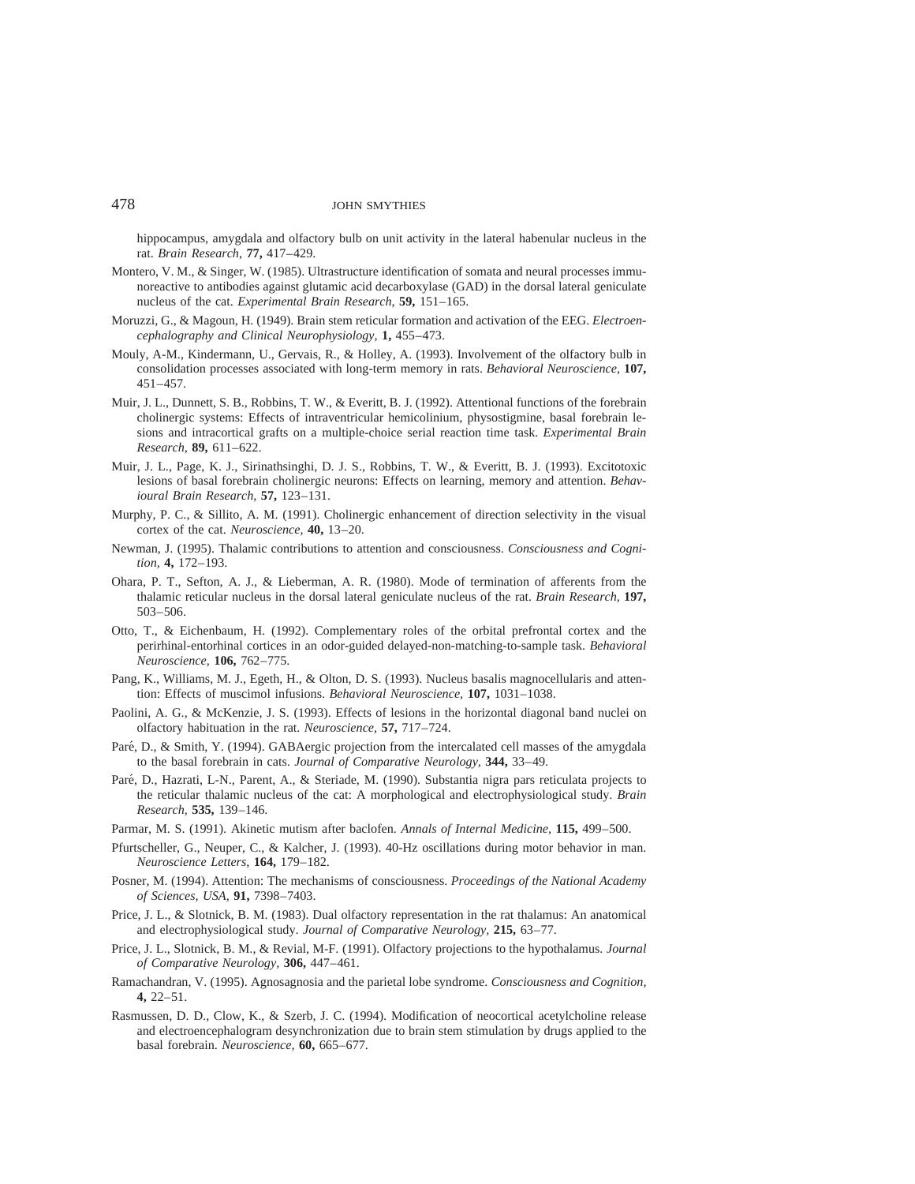hippocampus, amygdala and olfactory bulb on unit activity in the lateral habenular nucleus in the rat. *Brain Research,* **77,** 417–429.

- Montero, V. M., & Singer, W. (1985). Ultrastructure identification of somata and neural processes immunoreactive to antibodies against glutamic acid decarboxylase (GAD) in the dorsal lateral geniculate nucleus of the cat. *Experimental Brain Research,* **59,** 151–165.
- Moruzzi, G., & Magoun, H. (1949). Brain stem reticular formation and activation of the EEG. *Electroencephalography and Clinical Neurophysiology,* **1,** 455–473.
- Mouly, A-M., Kindermann, U., Gervais, R., & Holley, A. (1993). Involvement of the olfactory bulb in consolidation processes associated with long-term memory in rats. *Behavioral Neuroscience,* **107,** 451–457.
- Muir, J. L., Dunnett, S. B., Robbins, T. W., & Everitt, B. J. (1992). Attentional functions of the forebrain cholinergic systems: Effects of intraventricular hemicolinium, physostigmine, basal forebrain lesions and intracortical grafts on a multiple-choice serial reaction time task. *Experimental Brain Research,* **89,** 611–622.
- Muir, J. L., Page, K. J., Sirinathsinghi, D. J. S., Robbins, T. W., & Everitt, B. J. (1993). Excitotoxic lesions of basal forebrain cholinergic neurons: Effects on learning, memory and attention. *Behavioural Brain Research,* **57,** 123–131.
- Murphy, P. C., & Sillito, A. M. (1991). Cholinergic enhancement of direction selectivity in the visual cortex of the cat. *Neuroscience,* **40,** 13–20.
- Newman, J. (1995). Thalamic contributions to attention and consciousness. *Consciousness and Cognition,* **4,** 172–193.
- Ohara, P. T., Sefton, A. J., & Lieberman, A. R. (1980). Mode of termination of afferents from the thalamic reticular nucleus in the dorsal lateral geniculate nucleus of the rat. *Brain Research,* **197,** 503–506.
- Otto, T., & Eichenbaum, H. (1992). Complementary roles of the orbital prefrontal cortex and the perirhinal-entorhinal cortices in an odor-guided delayed-non-matching-to-sample task. *Behavioral Neuroscience,* **106,** 762–775.
- Pang, K., Williams, M. J., Egeth, H., & Olton, D. S. (1993). Nucleus basalis magnocellularis and attention: Effects of muscimol infusions. *Behavioral Neuroscience,* **107,** 1031–1038.
- Paolini, A. G., & McKenzie, J. S. (1993). Effects of lesions in the horizontal diagonal band nuclei on olfactory habituation in the rat. *Neuroscience,* **57,** 717–724.
- Paré, D., & Smith, Y. (1994). GABAergic projection from the intercalated cell masses of the amygdala to the basal forebrain in cats. *Journal of Comparative Neurology,* **344,** 33–49.
- Paré, D., Hazrati, L-N., Parent, A., & Steriade, M. (1990). Substantia nigra pars reticulata projects to the reticular thalamic nucleus of the cat: A morphological and electrophysiological study. *Brain Research,* **535,** 139–146.
- Parmar, M. S. (1991). Akinetic mutism after baclofen. *Annals of Internal Medicine,* **115,** 499–500.
- Pfurtscheller, G., Neuper, C., & Kalcher, J. (1993). 40-Hz oscillations during motor behavior in man. *Neuroscience Letters,* **164,** 179–182.
- Posner, M. (1994). Attention: The mechanisms of consciousness. *Proceedings of the National Academy of Sciences, USA,* **91,** 7398–7403.
- Price, J. L., & Slotnick, B. M. (1983). Dual olfactory representation in the rat thalamus: An anatomical and electrophysiological study. *Journal of Comparative Neurology,* **215,** 63–77.
- Price, J. L., Slotnick, B. M., & Revial, M-F. (1991). Olfactory projections to the hypothalamus. *Journal of Comparative Neurology,* **306,** 447–461.
- Ramachandran, V. (1995). Agnosagnosia and the parietal lobe syndrome. *Consciousness and Cognition,* **4,** 22–51.
- Rasmussen, D. D., Clow, K., & Szerb, J. C. (1994). Modification of neocortical acetylcholine release and electroencephalogram desynchronization due to brain stem stimulation by drugs applied to the basal forebrain. *Neuroscience,* **60,** 665–677.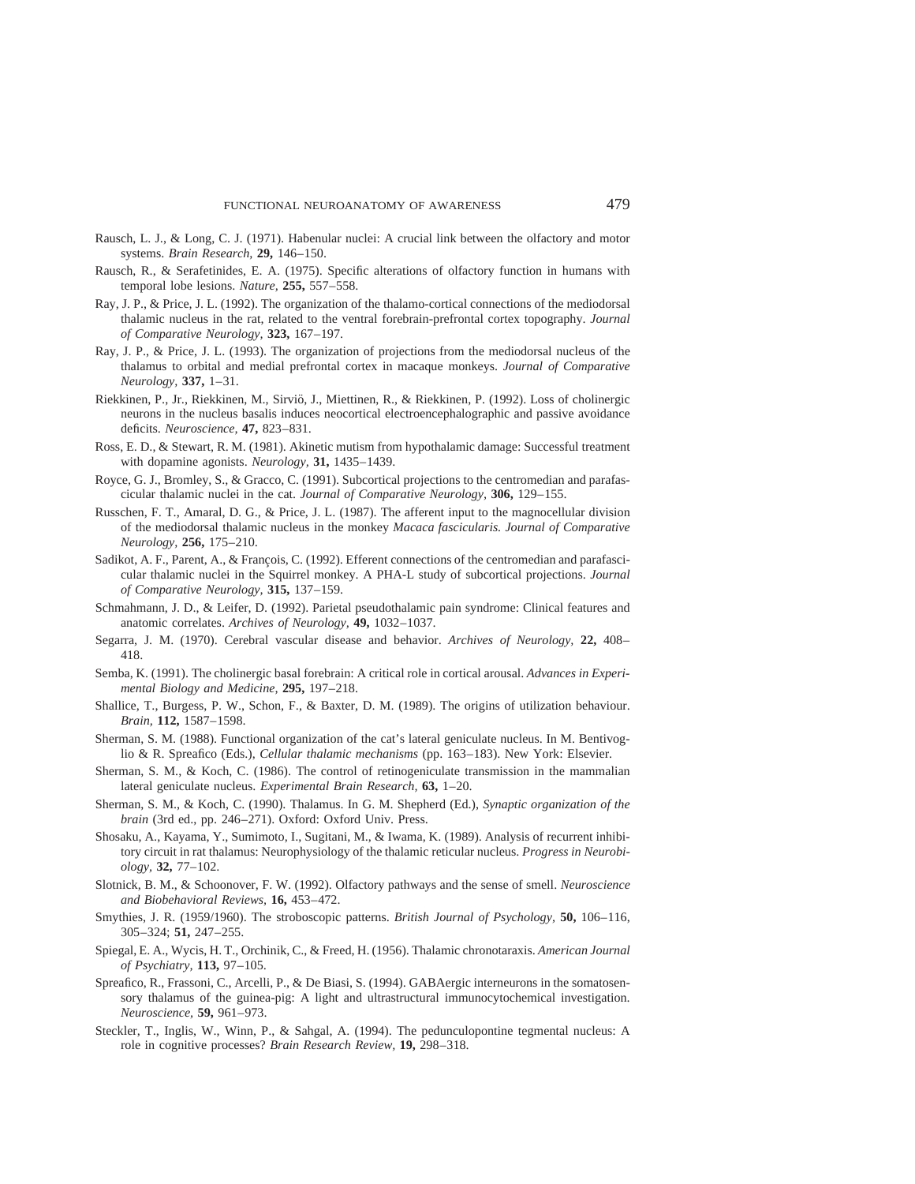- Rausch, L. J., & Long, C. J. (1971). Habenular nuclei: A crucial link between the olfactory and motor systems. *Brain Research,* **29,** 146–150.
- Rausch, R., & Serafetinides, E. A. (1975). Specific alterations of olfactory function in humans with temporal lobe lesions. *Nature,* **255,** 557–558.
- Ray, J. P., & Price, J. L. (1992). The organization of the thalamo-cortical connections of the mediodorsal thalamic nucleus in the rat, related to the ventral forebrain-prefrontal cortex topography. *Journal of Comparative Neurology,* **323,** 167–197.
- Ray, J. P., & Price, J. L. (1993). The organization of projections from the mediodorsal nucleus of the thalamus to orbital and medial prefrontal cortex in macaque monkeys. *Journal of Comparative Neurology,* **337,** 1–31.
- Riekkinen, P., Jr., Riekkinen, M., Sirviö, J., Miettinen, R., & Riekkinen, P. (1992). Loss of cholinergic neurons in the nucleus basalis induces neocortical electroencephalographic and passive avoidance deficits. *Neuroscience,* **47,** 823–831.
- Ross, E. D., & Stewart, R. M. (1981). Akinetic mutism from hypothalamic damage: Successful treatment with dopamine agonists. *Neurology,* **31,** 1435–1439.
- Royce, G. J., Bromley, S., & Gracco, C. (1991). Subcortical projections to the centromedian and parafascicular thalamic nuclei in the cat. *Journal of Comparative Neurology,* **306,** 129–155.
- Russchen, F. T., Amaral, D. G., & Price, J. L. (1987). The afferent input to the magnocellular division of the mediodorsal thalamic nucleus in the monkey *Macaca fascicularis. Journal of Comparative Neurology,* **256,** 175–210.
- Sadikot, A. F., Parent, A., & François, C. (1992). Efferent connections of the centromedian and parafascicular thalamic nuclei in the Squirrel monkey. A PHA-L study of subcortical projections. *Journal of Comparative Neurology,* **315,** 137–159.
- Schmahmann, J. D., & Leifer, D. (1992). Parietal pseudothalamic pain syndrome: Clinical features and anatomic correlates. *Archives of Neurology,* **49,** 1032–1037.
- Segarra, J. M. (1970). Cerebral vascular disease and behavior. *Archives of Neurology,* **22,** 408– 418.
- Semba, K. (1991). The cholinergic basal forebrain: A critical role in cortical arousal. *Advances in Experimental Biology and Medicine,* **295,** 197–218.
- Shallice, T., Burgess, P. W., Schon, F., & Baxter, D. M. (1989). The origins of utilization behaviour. *Brain,* **112,** 1587–1598.
- Sherman, S. M. (1988). Functional organization of the cat's lateral geniculate nucleus. In M. Bentivoglio & R. Spreafico (Eds.), *Cellular thalamic mechanisms* (pp. 163–183). New York: Elsevier.
- Sherman, S. M., & Koch, C. (1986). The control of retinogeniculate transmission in the mammalian lateral geniculate nucleus. *Experimental Brain Research,* **63,** 1–20.
- Sherman, S. M., & Koch, C. (1990). Thalamus. In G. M. Shepherd (Ed.), *Synaptic organization of the brain* (3rd ed., pp. 246–271). Oxford: Oxford Univ. Press.
- Shosaku, A., Kayama, Y., Sumimoto, I., Sugitani, M., & Iwama, K. (1989). Analysis of recurrent inhibitory circuit in rat thalamus: Neurophysiology of the thalamic reticular nucleus. *Progress in Neurobiology,* **32,** 77–102.
- Slotnick, B. M., & Schoonover, F. W. (1992). Olfactory pathways and the sense of smell. *Neuroscience and Biobehavioral Reviews,* **16,** 453–472.
- Smythies, J. R. (1959/1960). The stroboscopic patterns. *British Journal of Psychology,* **50,** 106–116, 305–324; **51,** 247–255.
- Spiegal, E. A., Wycis, H. T., Orchinik, C., & Freed, H. (1956). Thalamic chronotaraxis. *American Journal of Psychiatry,* **113,** 97–105.
- Spreafico, R., Frassoni, C., Arcelli, P., & De Biasi, S. (1994). GABAergic interneurons in the somatosensory thalamus of the guinea-pig: A light and ultrastructural immunocytochemical investigation. *Neuroscience,* **59,** 961–973.
- Steckler, T., Inglis, W., Winn, P., & Sahgal, A. (1994). The pedunculopontine tegmental nucleus: A role in cognitive processes? *Brain Research Review,* **19,** 298–318.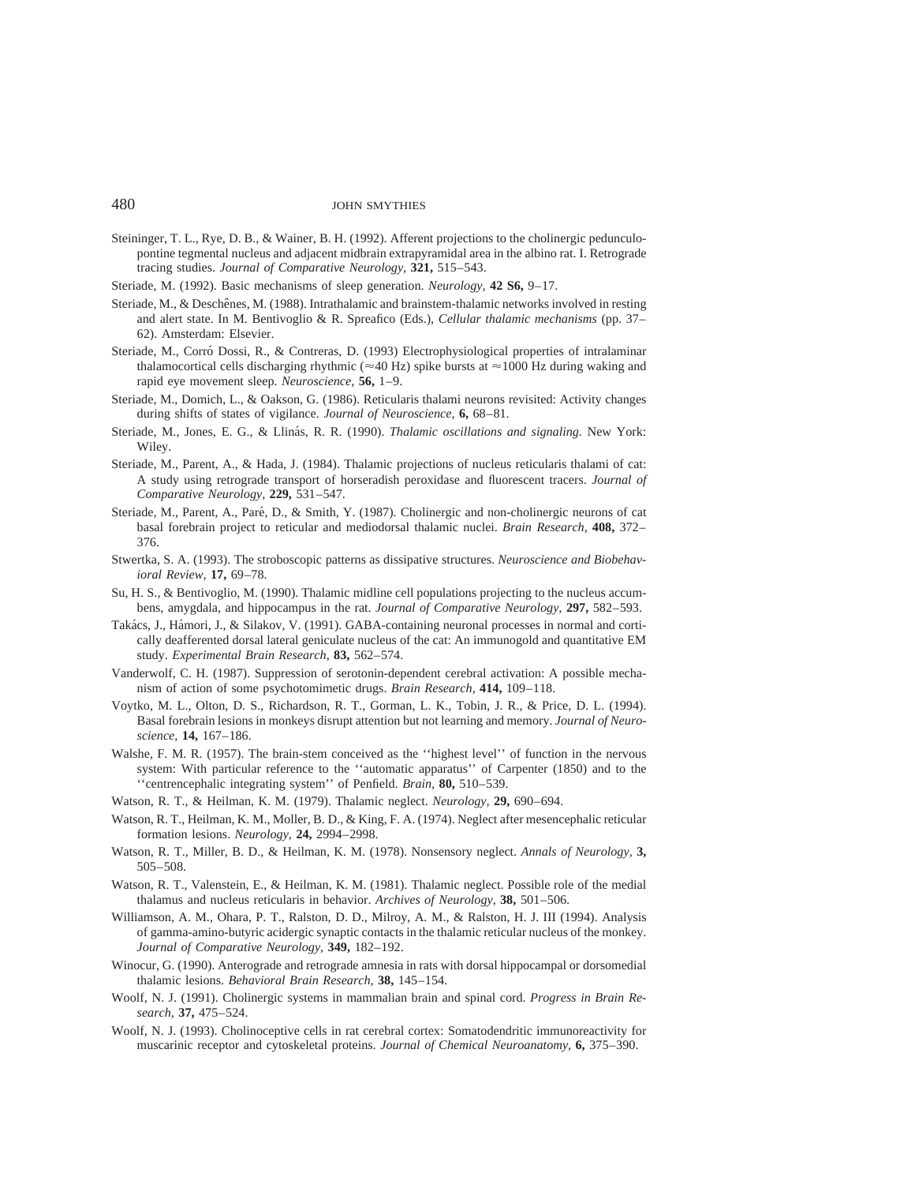- Steininger, T. L., Rye, D. B., & Wainer, B. H. (1992). Afferent projections to the cholinergic pedunculopontine tegmental nucleus and adjacent midbrain extrapyramidal area in the albino rat. I. Retrograde tracing studies. *Journal of Comparative Neurology,* **321,** 515–543.
- Steriade, M. (1992). Basic mechanisms of sleep generation. *Neurology,* **42 S6,** 9–17.
- Steriade, M., & Deschênes, M. (1988). Intrathalamic and brainstem-thalamic networks involved in resting and alert state. In M. Bentivoglio & R. Spreafico (Eds.), *Cellular thalamic mechanisms* (pp. 37– 62). Amsterdam: Elsevier.
- Steriade, M., Corró Dossi, R., & Contreras, D. (1993) Electrophysiological properties of intralaminar thalamocortical cells discharging rhythmic ( $\approx$ 40 Hz) spike bursts at  $\approx$ 1000 Hz during waking and rapid eye movement sleep. *Neuroscience,* **56,** 1–9.
- Steriade, M., Domich, L., & Oakson, G. (1986). Reticularis thalami neurons revisited: Activity changes during shifts of states of vigilance. *Journal of Neuroscience,* **6,** 68–81.
- Steriade, M., Jones, E. G., & Llina´s, R. R. (1990). *Thalamic oscillations and signaling.* New York: Wiley.
- Steriade, M., Parent, A., & Hada, J. (1984). Thalamic projections of nucleus reticularis thalami of cat: A study using retrograde transport of horseradish peroxidase and fluorescent tracers. *Journal of Comparative Neurology,* **229,** 531–547.
- Steriade, M., Parent, A., Paré, D., & Smith, Y. (1987). Cholinergic and non-cholinergic neurons of cat basal forebrain project to reticular and mediodorsal thalamic nuclei. *Brain Research,* **408,** 372– 376.
- Stwertka, S. A. (1993). The stroboscopic patterns as dissipative structures. *Neuroscience and Biobehavioral Review,* **17,** 69–78.
- Su, H. S., & Bentivoglio, M. (1990). Thalamic midline cell populations projecting to the nucleus accumbens, amygdala, and hippocampus in the rat. *Journal of Comparative Neurology,* **297,** 582–593.
- Takács, J., Hámori, J., & Silakov, V. (1991). GABA-containing neuronal processes in normal and cortically deafferented dorsal lateral geniculate nucleus of the cat: An immunogold and quantitative EM study. *Experimental Brain Research,* **83,** 562–574.
- Vanderwolf, C. H. (1987). Suppression of serotonin-dependent cerebral activation: A possible mechanism of action of some psychotomimetic drugs. *Brain Research,* **414,** 109–118.
- Voytko, M. L., Olton, D. S., Richardson, R. T., Gorman, L. K., Tobin, J. R., & Price, D. L. (1994). Basal forebrain lesions in monkeys disrupt attention but not learning and memory. *Journal of Neuroscience,* **14,** 167–186.
- Walshe, F. M. R. (1957). The brain-stem conceived as the ''highest level'' of function in the nervous system: With particular reference to the ''automatic apparatus'' of Carpenter (1850) and to the ''centrencephalic integrating system'' of Penfield. *Brain,* **80,** 510–539.
- Watson, R. T., & Heilman, K. M. (1979). Thalamic neglect. *Neurology,* **29,** 690–694.
- Watson, R. T., Heilman, K. M., Moller, B. D., & King, F. A. (1974). Neglect after mesencephalic reticular formation lesions. *Neurology,* **24,** 2994–2998.
- Watson, R. T., Miller, B. D., & Heilman, K. M. (1978). Nonsensory neglect. *Annals of Neurology,* **3,** 505–508.
- Watson, R. T., Valenstein, E., & Heilman, K. M. (1981). Thalamic neglect. Possible role of the medial thalamus and nucleus reticularis in behavior. *Archives of Neurology,* **38,** 501–506.
- Williamson, A. M., Ohara, P. T., Ralston, D. D., Milroy, A. M., & Ralston, H. J. III (1994). Analysis of gamma-amino-butyric acidergic synaptic contacts in the thalamic reticular nucleus of the monkey. *Journal of Comparative Neurology,* **349,** 182–192.
- Winocur, G. (1990). Anterograde and retrograde amnesia in rats with dorsal hippocampal or dorsomedial thalamic lesions. *Behavioral Brain Research,* **38,** 145–154.
- Woolf, N. J. (1991). Cholinergic systems in mammalian brain and spinal cord. *Progress in Brain Research,* **37,** 475–524.
- Woolf, N. J. (1993). Cholinoceptive cells in rat cerebral cortex: Somatodendritic immunoreactivity for muscarinic receptor and cytoskeletal proteins. *Journal of Chemical Neuroanatomy,* **6,** 375–390.